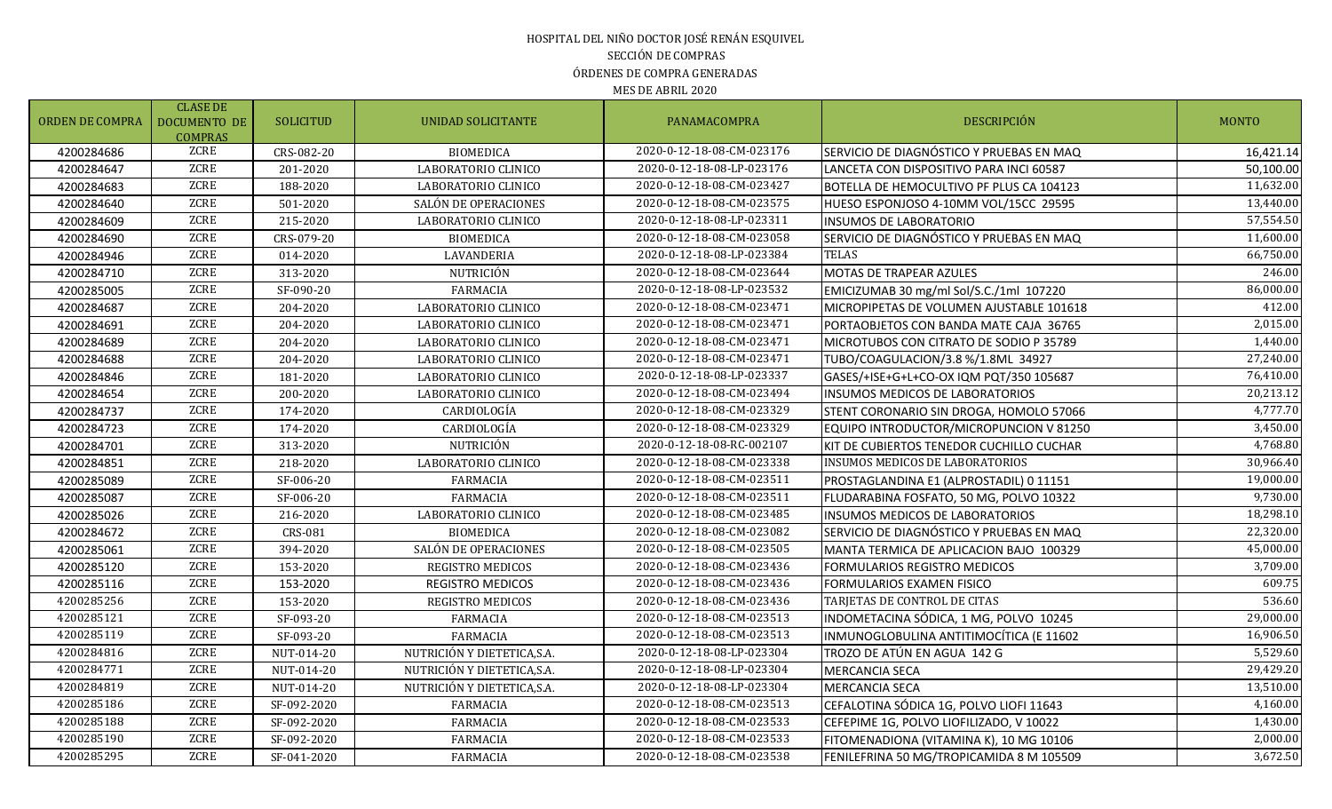### HOSPITAL DEL NIÑO DOCTOR JOSÉ RENÁN ESQUIVEL SECCIÓN DE COMPRAS ÓRDENES DE COMPRA GENERADAS

| <b>ORDEN DE COMPRA</b> | <b>CLASE DE</b><br><b>DOCUMENTO DE</b><br><b>COMPRAS</b> | <b>SOLICITUD</b> | UNIDAD SOLICITANTE          | PANAMACOMPRA              | <b>DESCRIPCIÓN</b>                       | <b>MONTO</b> |
|------------------------|----------------------------------------------------------|------------------|-----------------------------|---------------------------|------------------------------------------|--------------|
| 4200284686             | ZCRE                                                     | CRS-082-20       | <b>BIOMEDICA</b>            | 2020-0-12-18-08-CM-023176 | SERVICIO DE DIAGNÓSTICO Y PRUEBAS EN MAQ | 16,421.14    |
| 4200284647             | ZCRE                                                     | 201-2020         | LABORATORIO CLINICO         | 2020-0-12-18-08-LP-023176 | LANCETA CON DISPOSITIVO PARA INCI 60587  | 50,100.00    |
| 4200284683             | ZCRE                                                     | 188-2020         | LABORATORIO CLINICO         | 2020-0-12-18-08-CM-023427 | BOTELLA DE HEMOCULTIVO PF PLUS CA 104123 | 11,632.00    |
| 4200284640             | <b>ZCRE</b>                                              | 501-2020         | SALÓN DE OPERACIONES        | 2020-0-12-18-08-CM-023575 | HUESO ESPONJOSO 4-10MM VOL/15CC 29595    | 13,440.00    |
| 4200284609             | ZCRE                                                     | 215-2020         | LABORATORIO CLINICO         | 2020-0-12-18-08-LP-023311 | INSUMOS DE LABORATORIO                   | 57,554.50    |
| 4200284690             | ZCRE                                                     | CRS-079-20       | <b>BIOMEDICA</b>            | 2020-0-12-18-08-CM-023058 | SERVICIO DE DIAGNÓSTICO Y PRUEBAS EN MAQ | 11,600.00    |
| 4200284946             | ZCRE                                                     | 014-2020         | LAVANDERIA                  | 2020-0-12-18-08-LP-023384 | <b>TELAS</b>                             | 66,750.00    |
| 4200284710             | ZCRE                                                     | 313-2020         | NUTRICIÓN                   | 2020-0-12-18-08-CM-023644 | MOTAS DE TRAPEAR AZULES                  | 246.00       |
| 4200285005             | ZCRE                                                     | SF-090-20        | <b>FARMACIA</b>             | 2020-0-12-18-08-LP-023532 | EMICIZUMAB 30 mg/ml Sol/S.C./1ml 107220  | 86,000.00    |
| 4200284687             | ZCRE                                                     | 204-2020         | LABORATORIO CLINICO         | 2020-0-12-18-08-CM-023471 | MICROPIPETAS DE VOLUMEN AJUSTABLE 101618 | 412.00       |
| 4200284691             | ZCRE                                                     | 204-2020         | LABORATORIO CLINICO         | 2020-0-12-18-08-CM-023471 | PORTAOBJETOS CON BANDA MATE CAJA 36765   | 2,015.00     |
| 4200284689             | ZCRE                                                     | 204-2020         | LABORATORIO CLINICO         | 2020-0-12-18-08-CM-023471 | MICROTUBOS CON CITRATO DE SODIO P 35789  | 1,440.00     |
| 4200284688             | <b>ZCRE</b>                                              | 204-2020         | LABORATORIO CLINICO         | 2020-0-12-18-08-CM-023471 | TUBO/COAGULACION/3.8 %/1.8ML 34927       | 27,240.00    |
| 4200284846             | ZCRE                                                     | 181-2020         | LABORATORIO CLINICO         | 2020-0-12-18-08-LP-023337 | GASES/+ISE+G+L+CO-OX IQM PQT/350 105687  | 76,410.00    |
| 4200284654             | <b>ZCRE</b>                                              | 200-2020         | LABORATORIO CLINICO         | 2020-0-12-18-08-CM-023494 | INSUMOS MEDICOS DE LABORATORIOS          | 20,213.12    |
| 4200284737             | <b>ZCRE</b>                                              | 174-2020         | CARDIOLOGÍA                 | 2020-0-12-18-08-CM-023329 | STENT CORONARIO SIN DROGA, HOMOLO 57066  | 4,777.70     |
| 4200284723             | <b>ZCRE</b>                                              | 174-2020         | CARDIOLOGÍA                 | 2020-0-12-18-08-CM-023329 | EQUIPO INTRODUCTOR/MICROPUNCION V 81250  | 3,450.00     |
| 4200284701             | ZCRE                                                     | 313-2020         | NUTRICIÓN                   | 2020-0-12-18-08-RC-002107 | KIT DE CUBIERTOS TENEDOR CUCHILLO CUCHAR | 4,768.80     |
| 4200284851             | ZCRE                                                     | 218-2020         | LABORATORIO CLINICO         | 2020-0-12-18-08-CM-023338 | INSUMOS MEDICOS DE LABORATORIOS          | 30,966.40    |
| 4200285089             | ZCRE                                                     | SF-006-20        | <b>FARMACIA</b>             | 2020-0-12-18-08-CM-023511 | PROSTAGLANDINA E1 (ALPROSTADIL) 0 11151  | 19,000.00    |
| 4200285087             | <b>ZCRE</b>                                              | SF-006-20        | <b>FARMACIA</b>             | 2020-0-12-18-08-CM-023511 | FLUDARABINA FOSFATO, 50 MG, POLVO 10322  | 9,730.00     |
| 4200285026             | <b>ZCRE</b>                                              | 216-2020         | LABORATORIO CLINICO         | 2020-0-12-18-08-CM-023485 | INSUMOS MEDICOS DE LABORATORIOS          | 18,298.10    |
| 4200284672             | <b>ZCRE</b>                                              | CRS-081          | <b>BIOMEDICA</b>            | 2020-0-12-18-08-CM-023082 | SERVICIO DE DIAGNÓSTICO Y PRUEBAS EN MAQ | 22,320.00    |
| 4200285061             | <b>ZCRE</b>                                              | 394-2020         | SALÓN DE OPERACIONES        | 2020-0-12-18-08-CM-023505 | MANTA TERMICA DE APLICACION BAJO 100329  | 45,000.00    |
| 4200285120             | ZCRE                                                     | 153-2020         | REGISTRO MEDICOS            | 2020-0-12-18-08-CM-023436 | FORMULARIOS REGISTRO MEDICOS             | 3,709.00     |
| 4200285116             | ZCRE                                                     | 153-2020         | <b>REGISTRO MEDICOS</b>     | 2020-0-12-18-08-CM-023436 | FORMULARIOS EXAMEN FISICO                | 609.75       |
| 4200285256             | <b>ZCRE</b>                                              | 153-2020         | REGISTRO MEDICOS            | 2020-0-12-18-08-CM-023436 | TARJETAS DE CONTROL DE CITAS             | 536.60       |
| 4200285121             | <b>ZCRE</b>                                              | SF-093-20        | <b>FARMACIA</b>             | 2020-0-12-18-08-CM-023513 | INDOMETACINA SÓDICA, 1 MG, POLVO 10245   | 29,000.00    |
| 4200285119             | <b>ZCRE</b>                                              | SF-093-20        | FARMACIA                    | 2020-0-12-18-08-CM-023513 | INMUNOGLOBULINA ANTITIMOCÍTICA (E 11602  | 16,906.50    |
| 4200284816             | ZCRE                                                     | NUT-014-20       | NUTRICIÓN Y DIETETICA, S.A. | 2020-0-12-18-08-LP-023304 | TROZO DE ATÚN EN AGUA  142 G             | 5,529.60     |
| 4200284771             | <b>ZCRE</b>                                              | NUT-014-20       | NUTRICIÓN Y DIETETICA, S.A. | 2020-0-12-18-08-LP-023304 | <b>MERCANCIA SECA</b>                    | 29,429.20    |
| 4200284819             | ZCRE                                                     | NUT-014-20       | NUTRICIÓN Y DIETETICA, S.A. | 2020-0-12-18-08-LP-023304 | MERCANCIA SECA                           | 13,510.00    |
| 4200285186             | ZCRE                                                     | SF-092-2020      | <b>FARMACIA</b>             | 2020-0-12-18-08-CM-023513 | CEFALOTINA SÓDICA 1G, POLVO LIOFI 11643  | 4,160.00     |
| 4200285188             | ZCRE                                                     | SF-092-2020      | <b>FARMACIA</b>             | 2020-0-12-18-08-CM-023533 | CEFEPIME 1G, POLVO LIOFILIZADO, V 10022  | 1,430.00     |
| 4200285190             | <b>ZCRE</b>                                              | SF-092-2020      | <b>FARMACIA</b>             | 2020-0-12-18-08-CM-023533 | FITOMENADIONA (VITAMINA K), 10 MG 10106  | 2,000.00     |
| 4200285295             | <b>ZCRE</b>                                              | SF-041-2020      | <b>FARMACIA</b>             | 2020-0-12-18-08-CM-023538 | FENILEFRINA 50 MG/TROPICAMIDA 8 M 105509 | 3,672.50     |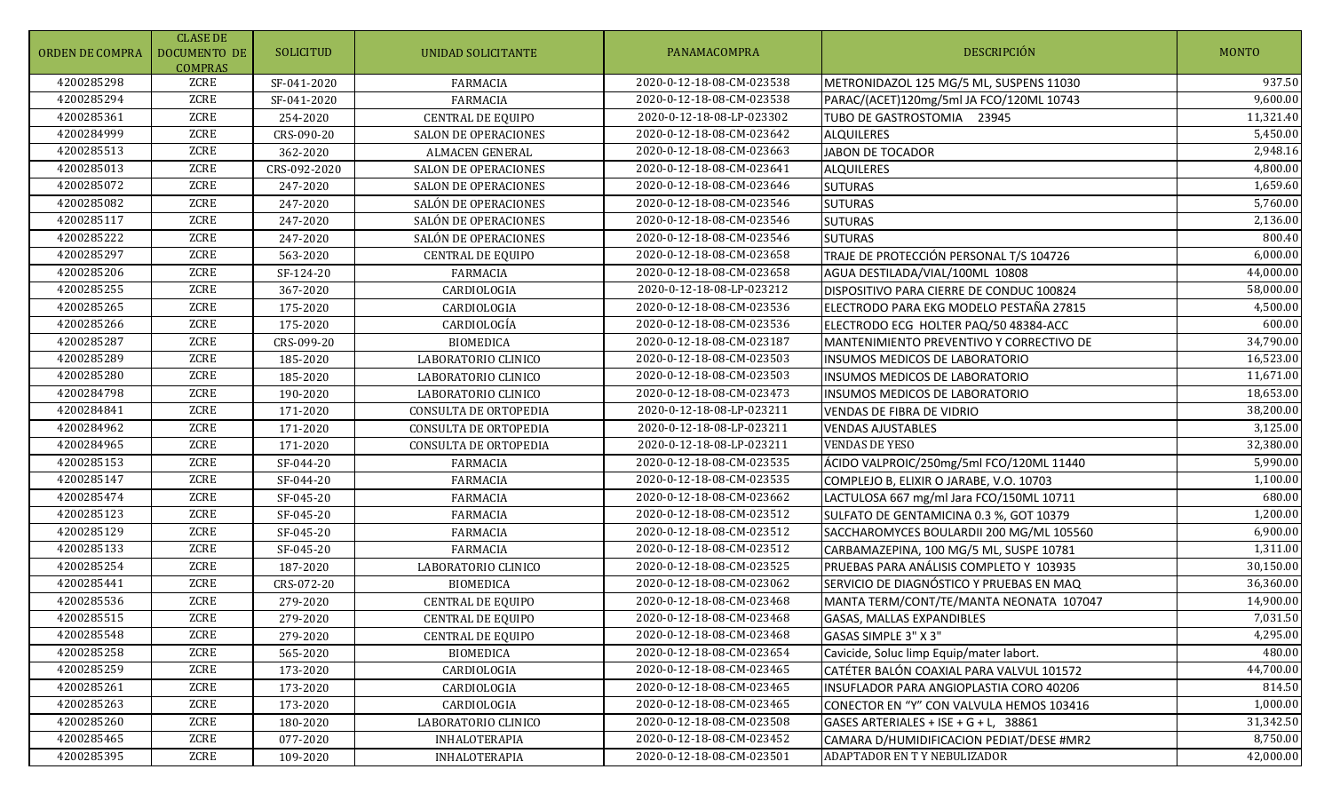| <b>ORDEN DE COMPRA</b> | <b>CLASE DE</b><br><b>DOCUMENTO DE</b><br><b>COMPRAS</b> | <b>SOLICITUD</b> | UNIDAD SOLICITANTE          | PANAMACOMPRA              | <b>DESCRIPCIÓN</b>                       | <b>MONTO</b> |
|------------------------|----------------------------------------------------------|------------------|-----------------------------|---------------------------|------------------------------------------|--------------|
| 4200285298             | ZCRE                                                     | SF-041-2020      | <b>FARMACIA</b>             | 2020-0-12-18-08-CM-023538 | METRONIDAZOL 125 MG/5 ML, SUSPENS 11030  | 937.50       |
| 4200285294             | ZCRE                                                     | SF-041-2020      | <b>FARMACIA</b>             | 2020-0-12-18-08-CM-023538 | PARAC/(ACET)120mg/5ml JA FCO/120ML 10743 | 9,600.00     |
| 4200285361             | ZCRE                                                     | 254-2020         | <b>CENTRAL DE EQUIPO</b>    | 2020-0-12-18-08-LP-023302 | TUBO DE GASTROSTOMIA 23945               | 11,321.40    |
| 4200284999             | ZCRE                                                     | CRS-090-20       | <b>SALON DE OPERACIONES</b> | 2020-0-12-18-08-CM-023642 | <b>ALQUILERES</b>                        | 5,450.00     |
| 4200285513             | ZCRE                                                     | 362-2020         | <b>ALMACEN GENERAL</b>      | 2020-0-12-18-08-CM-023663 | <b>JABON DE TOCADOR</b>                  | 2,948.16     |
| 4200285013             | ZCRE                                                     | CRS-092-2020     | <b>SALON DE OPERACIONES</b> | 2020-0-12-18-08-CM-023641 | <b>ALQUILERES</b>                        | 4,800.00     |
| 4200285072             | ZCRE                                                     | 247-2020         | SALON DE OPERACIONES        | 2020-0-12-18-08-CM-023646 | <b>SUTURAS</b>                           | 1,659.60     |
| 4200285082             | ZCRE                                                     | 247-2020         | SALÓN DE OPERACIONES        | 2020-0-12-18-08-CM-023546 | <b>SUTURAS</b>                           | 5,760.00     |
| 4200285117             | ZCRE                                                     | 247-2020         | SALÓN DE OPERACIONES        | 2020-0-12-18-08-CM-023546 | <b>SUTURAS</b>                           | 2,136.00     |
| 4200285222             | ZCRE                                                     | 247-2020         | SALÓN DE OPERACIONES        | 2020-0-12-18-08-CM-023546 | <b>SUTURAS</b>                           | 800.40       |
| 4200285297             | ZCRE                                                     | 563-2020         | <b>CENTRAL DE EQUIPO</b>    | 2020-0-12-18-08-CM-023658 | TRAJE DE PROTECCIÓN PERSONAL T/S 104726  | 6,000.00     |
| 4200285206             | ZCRE                                                     | SF-124-20        | <b>FARMACIA</b>             | 2020-0-12-18-08-CM-023658 | AGUA DESTILADA/VIAL/100ML 10808          | 44,000.00    |
| 4200285255             | ZCRE                                                     | 367-2020         | CARDIOLOGIA                 | 2020-0-12-18-08-LP-023212 | DISPOSITIVO PARA CIERRE DE CONDUC 100824 | 58,000.00    |
| 4200285265             | ZCRE                                                     | 175-2020         | CARDIOLOGIA                 | 2020-0-12-18-08-CM-023536 | ELECTRODO PARA EKG MODELO PESTAÑA 27815  | 4,500.00     |
| 4200285266             | ZCRE                                                     | 175-2020         | CARDIOLOGÍA                 | 2020-0-12-18-08-CM-023536 | ELECTRODO ECG HOLTER PAQ/50 48384-ACC    | 600.00       |
| 4200285287             | ZCRE                                                     | CRS-099-20       | <b>BIOMEDICA</b>            | 2020-0-12-18-08-CM-023187 | MANTENIMIENTO PREVENTIVO Y CORRECTIVO DE | 34,790.00    |
| 4200285289             | ZCRE                                                     | 185-2020         | LABORATORIO CLINICO         | 2020-0-12-18-08-CM-023503 | INSUMOS MEDICOS DE LABORATORIO           | 16,523.00    |
| 4200285280             | ZCRE                                                     | 185-2020         | LABORATORIO CLINICO         | 2020-0-12-18-08-CM-023503 | INSUMOS MEDICOS DE LABORATORIO           | 11,671.00    |
| 4200284798             | ZCRE                                                     | 190-2020         | LABORATORIO CLINICO         | 2020-0-12-18-08-CM-023473 | INSUMOS MEDICOS DE LABORATORIO           | 18,653.00    |
| 4200284841             | ZCRE                                                     | 171-2020         | CONSULTA DE ORTOPEDIA       | 2020-0-12-18-08-LP-023211 | VENDAS DE FIBRA DE VIDRIO                | 38,200.00    |
| 4200284962             | ZCRE                                                     | 171-2020         | CONSULTA DE ORTOPEDIA       | 2020-0-12-18-08-LP-023211 | <b>VENDAS AJUSTABLES</b>                 | 3,125.00     |
| 4200284965             | ZCRE                                                     | 171-2020         | CONSULTA DE ORTOPEDIA       | 2020-0-12-18-08-LP-023211 | <b>VENDAS DE YESO</b>                    | 32,380.00    |
| 4200285153             | ZCRE                                                     | SF-044-20        | <b>FARMACIA</b>             | 2020-0-12-18-08-CM-023535 | ÁCIDO VALPROIC/250mg/5ml FCO/120ML 11440 | 5,990.00     |
| 4200285147             | <b>ZCRE</b>                                              | SF-044-20        | <b>FARMACIA</b>             | 2020-0-12-18-08-CM-023535 | COMPLEJO B, ELIXIR O JARABE, V.O. 10703  | 1,100.00     |
| 4200285474             | <b>ZCRE</b>                                              | SF-045-20        | <b>FARMACIA</b>             | 2020-0-12-18-08-CM-023662 | LACTULOSA 667 mg/ml Jara FCO/150ML 10711 | 680.00       |
| 4200285123             | ZCRE                                                     | SF-045-20        | <b>FARMACIA</b>             | 2020-0-12-18-08-CM-023512 | SULFATO DE GENTAMICINA 0.3 %, GOT 10379  | 1,200.00     |
| 4200285129             | ZCRE                                                     | SF-045-20        | <b>FARMACIA</b>             | 2020-0-12-18-08-CM-023512 | SACCHAROMYCES BOULARDII 200 MG/ML 105560 | 6,900.00     |
| 4200285133             | ZCRE                                                     | SF-045-20        | <b>FARMACIA</b>             | 2020-0-12-18-08-CM-023512 | CARBAMAZEPINA, 100 MG/5 ML, SUSPE 10781  | 1,311.00     |
| 4200285254             | ZCRE                                                     | 187-2020         | LABORATORIO CLINICO         | 2020-0-12-18-08-CM-023525 | PRUEBAS PARA ANÁLISIS COMPLETO Y 103935  | 30,150.00    |
| 4200285441             | ZCRE                                                     | CRS-072-20       | <b>BIOMEDICA</b>            | 2020-0-12-18-08-CM-023062 | SERVICIO DE DIAGNÓSTICO Y PRUEBAS EN MAQ | 36,360.00    |
| 4200285536             | ZCRE                                                     | 279-2020         | CENTRAL DE EQUIPO           | 2020-0-12-18-08-CM-023468 | MANTA TERM/CONT/TE/MANTA NEONATA 107047  | 14,900.00    |
| 4200285515             | ZCRE                                                     | 279-2020         | <b>CENTRAL DE EQUIPO</b>    | 2020-0-12-18-08-CM-023468 | <b>GASAS, MALLAS EXPANDIBLES</b>         | 7,031.50     |
| 4200285548             | ZCRE                                                     | 279-2020         | <b>CENTRAL DE EQUIPO</b>    | 2020-0-12-18-08-CM-023468 | GASAS SIMPLE 3" X 3"                     | 4,295.00     |
| 4200285258             | ZCRE                                                     | 565-2020         | <b>BIOMEDICA</b>            | 2020-0-12-18-08-CM-023654 | Cavicide, Soluc limp Equip/mater labort. | 480.00       |
| 4200285259             | ZCRE                                                     | 173-2020         | CARDIOLOGIA                 | 2020-0-12-18-08-CM-023465 | CATÉTER BALÓN COAXIAL PARA VALVUL 101572 | 44,700.00    |
| 4200285261             | ZCRE                                                     | 173-2020         | CARDIOLOGIA                 | 2020-0-12-18-08-CM-023465 | INSUFLADOR PARA ANGIOPLASTIA CORO 40206  | 814.50       |
| 4200285263             | ZCRE                                                     | 173-2020         | CARDIOLOGIA                 | 2020-0-12-18-08-CM-023465 | CONECTOR EN "Y" CON VALVULA HEMOS 103416 | 1,000.00     |
| 4200285260             | ZCRE                                                     | 180-2020         | LABORATORIO CLINICO         | 2020-0-12-18-08-CM-023508 | GASES ARTERIALES + ISE + G + L, 38861    | 31,342.50    |
| 4200285465             | ZCRE                                                     | 077-2020         | <b>INHALOTERAPIA</b>        | 2020-0-12-18-08-CM-023452 | CAMARA D/HUMIDIFICACION PEDIAT/DESE #MR2 | 8,750.00     |
| 4200285395             | ZCRE                                                     | 109-2020         | <b>INHALOTERAPIA</b>        | 2020-0-12-18-08-CM-023501 | ADAPTADOR EN TY NEBULIZADOR              | 42,000.00    |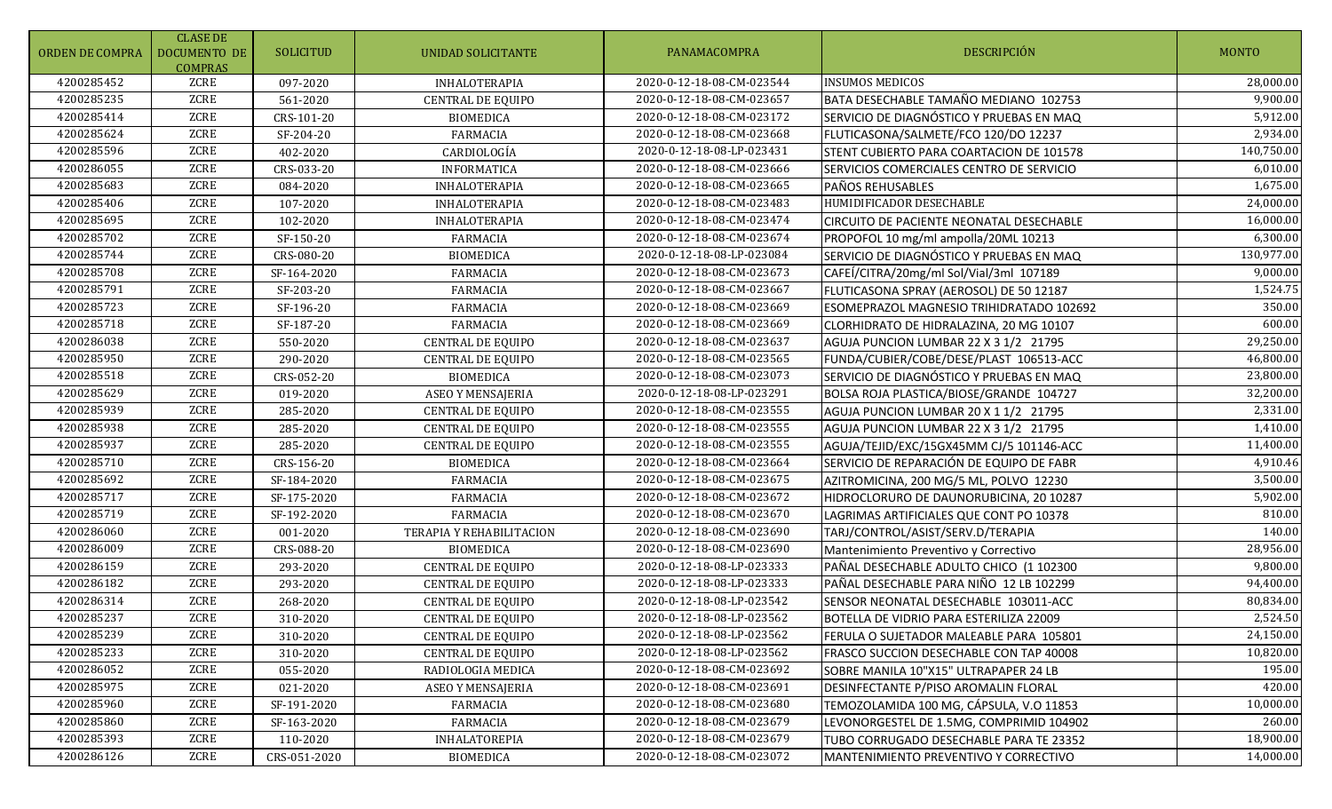| ORDEN DE COMPRA | <b>CLASE DE</b><br>DOCUMENTO DE<br><b>COMPRAS</b> | SOLICITUD    | UNIDAD SOLICITANTE       | PANAMACOMPRA              | <b>DESCRIPCIÓN</b>                       | <b>MONTO</b> |
|-----------------|---------------------------------------------------|--------------|--------------------------|---------------------------|------------------------------------------|--------------|
| 4200285452      | ZCRE                                              | 097-2020     | <b>INHALOTERAPIA</b>     | 2020-0-12-18-08-CM-023544 | <b>INSUMOS MEDICOS</b>                   | 28,000.00    |
| 4200285235      | ZCRE                                              | 561-2020     | CENTRAL DE EQUIPO        | 2020-0-12-18-08-CM-023657 | BATA DESECHABLE TAMAÑO MEDIANO 102753    | 9,900.00     |
| 4200285414      | ZCRE                                              | CRS-101-20   | <b>BIOMEDICA</b>         | 2020-0-12-18-08-CM-023172 | SERVICIO DE DIAGNÓSTICO Y PRUEBAS EN MAQ | 5,912.00     |
| 4200285624      | ZCRE                                              | SF-204-20    | <b>FARMACIA</b>          | 2020-0-12-18-08-CM-023668 | FLUTICASONA/SALMETE/FCO 120/DO 12237     | 2,934.00     |
| 4200285596      | ZCRE                                              | 402-2020     | CARDIOLOGÍA              | 2020-0-12-18-08-LP-023431 | STENT CUBIERTO PARA COARTACION DE 101578 | 140,750.00   |
| 4200286055      | ZCRE                                              | CRS-033-20   | <b>INFORMATICA</b>       | 2020-0-12-18-08-CM-023666 | SERVICIOS COMERCIALES CENTRO DE SERVICIO | 6,010.00     |
| 4200285683      | ZCRE                                              | 084-2020     | <b>INHALOTERAPIA</b>     | 2020-0-12-18-08-CM-023665 | PAÑOS REHUSABLES                         | 1,675.00     |
| 4200285406      | ZCRE                                              | 107-2020     | <b>INHALOTERAPIA</b>     | 2020-0-12-18-08-CM-023483 | HUMIDIFICADOR DESECHABLE                 | 24,000.00    |
| 4200285695      | ZCRE                                              | 102-2020     | INHALOTERAPIA            | 2020-0-12-18-08-CM-023474 | CIRCUITO DE PACIENTE NEONATAL DESECHABLE | 16,000.00    |
| 4200285702      | ZCRE                                              | SF-150-20    | <b>FARMACIA</b>          | 2020-0-12-18-08-CM-023674 | PROPOFOL 10 mg/ml ampolla/20ML 10213     | 6,300.00     |
| 4200285744      | ZCRE                                              | CRS-080-20   | <b>BIOMEDICA</b>         | 2020-0-12-18-08-LP-023084 | SERVICIO DE DIAGNÓSTICO Y PRUEBAS EN MAQ | 130,977.00   |
| 4200285708      | ZCRE                                              | SF-164-2020  | <b>FARMACIA</b>          | 2020-0-12-18-08-CM-023673 | CAFEÍ/CITRA/20mg/ml Sol/Vial/3ml 107189  | 9,000.00     |
| 4200285791      | ZCRE                                              | SF-203-20    | <b>FARMACIA</b>          | 2020-0-12-18-08-CM-023667 | FLUTICASONA SPRAY (AEROSOL) DE 50 12187  | 1,524.75     |
| 4200285723      | ZCRE                                              | SF-196-20    | <b>FARMACIA</b>          | 2020-0-12-18-08-CM-023669 | ESOMEPRAZOL MAGNESIO TRIHIDRATADO 102692 | 350.00       |
| 4200285718      | ZCRE                                              | SF-187-20    | <b>FARMACIA</b>          | 2020-0-12-18-08-CM-023669 | CLORHIDRATO DE HIDRALAZINA, 20 MG 10107  | 600.00       |
| 4200286038      | ZCRE                                              | 550-2020     | CENTRAL DE EQUIPO        | 2020-0-12-18-08-CM-023637 | AGUJA PUNCION LUMBAR 22 X 3 1/2 21795    | 29,250.00    |
| 4200285950      | ZCRE                                              | 290-2020     | CENTRAL DE EQUIPO        | 2020-0-12-18-08-CM-023565 | FUNDA/CUBIER/COBE/DESE/PLAST 106513-ACC  | 46,800.00    |
| 4200285518      | ZCRE                                              | CRS-052-20   | <b>BIOMEDICA</b>         | 2020-0-12-18-08-CM-023073 | SERVICIO DE DIAGNÓSTICO Y PRUEBAS EN MAQ | 23,800.00    |
| 4200285629      | ZCRE                                              | 019-2020     | <b>ASEO Y MENSAJERIA</b> | 2020-0-12-18-08-LP-023291 | BOLSA ROJA PLASTICA/BIOSE/GRANDE 104727  | 32,200.00    |
| 4200285939      | ZCRE                                              | 285-2020     | <b>CENTRAL DE EQUIPO</b> | 2020-0-12-18-08-CM-023555 | AGUJA PUNCION LUMBAR 20 X 1 1/2 21795    | 2,331.00     |
| 4200285938      | ZCRE                                              | 285-2020     | CENTRAL DE EQUIPO        | 2020-0-12-18-08-CM-023555 | AGUJA PUNCION LUMBAR 22 X 3 1/2 21795    | 1,410.00     |
| 4200285937      | ZCRE                                              | 285-2020     | CENTRAL DE EQUIPO        | 2020-0-12-18-08-CM-023555 | AGUJA/TEJID/EXC/15GX45MM CJ/5 101146-ACC | 11,400.00    |
| 4200285710      | ZCRE                                              | CRS-156-20   | <b>BIOMEDICA</b>         | 2020-0-12-18-08-CM-023664 | SERVICIO DE REPARACIÓN DE EQUIPO DE FABR | 4,910.46     |
| 4200285692      | ZCRE                                              | SF-184-2020  | <b>FARMACIA</b>          | 2020-0-12-18-08-CM-023675 | AZITROMICINA, 200 MG/5 ML, POLVO 12230   | 3,500.00     |
| 4200285717      | ZCRE                                              | SF-175-2020  | <b>FARMACIA</b>          | 2020-0-12-18-08-CM-023672 | HIDROCLORURO DE DAUNORUBICINA, 20 10287  | 5,902.00     |
| 4200285719      | ZCRE                                              | SF-192-2020  | <b>FARMACIA</b>          | 2020-0-12-18-08-CM-023670 | LAGRIMAS ARTIFICIALES QUE CONT PO 10378  | 810.00       |
| 4200286060      | ZCRE                                              | 001-2020     | TERAPIA Y REHABILITACION | 2020-0-12-18-08-CM-023690 | TARJ/CONTROL/ASIST/SERV.D/TERAPIA        | 140.00       |
| 4200286009      | ZCRE                                              | CRS-088-20   | <b>BIOMEDICA</b>         | 2020-0-12-18-08-CM-023690 | Mantenimiento Preventivo y Correctivo    | 28,956.00    |
| 4200286159      | ZCRE                                              | 293-2020     | <b>CENTRAL DE EQUIPO</b> | 2020-0-12-18-08-LP-023333 | PAÑAL DESECHABLE ADULTO CHICO (1 102300  | 9,800.00     |
| 4200286182      | ZCRE                                              | 293-2020     | <b>CENTRAL DE EQUIPO</b> | 2020-0-12-18-08-LP-023333 | PAÑAL DESECHABLE PARA NIÑO 12 LB 102299  | 94,400.00    |
| 4200286314      | ZCRE                                              | 268-2020     | CENTRAL DE EQUIPO        | 2020-0-12-18-08-LP-023542 | SENSOR NEONATAL DESECHABLE 103011-ACC    | 80,834.00    |
| 4200285237      | ZCRE                                              | 310-2020     | CENTRAL DE EQUIPO        | 2020-0-12-18-08-LP-023562 | BOTELLA DE VIDRIO PARA ESTERILIZA 22009  | 2,524.50     |
| 4200285239      | ZCRE                                              | 310-2020     | <b>CENTRAL DE EQUIPO</b> | 2020-0-12-18-08-LP-023562 | FERULA O SUJETADOR MALEABLE PARA 105801  | 24,150.00    |
| 4200285233      | ZCRE                                              | 310-2020     | <b>CENTRAL DE EQUIPO</b> | 2020-0-12-18-08-LP-023562 | FRASCO SUCCION DESECHABLE CON TAP 40008  | 10,820.00    |
| 4200286052      | ZCRE                                              | 055-2020     | RADIOLOGIA MEDICA        | 2020-0-12-18-08-CM-023692 | SOBRE MANILA 10"X15" ULTRAPAPER 24 LB    | 195.00       |
| 4200285975      | ZCRE                                              | 021-2020     | ASEO Y MENSAJERIA        | 2020-0-12-18-08-CM-023691 | DESINFECTANTE P/PISO AROMALIN FLORAL     | 420.00       |
| 4200285960      | ZCRE                                              | SF-191-2020  | FARMACIA                 | 2020-0-12-18-08-CM-023680 | TEMOZOLAMIDA 100 MG, CÁPSULA, V.O 11853  | 10,000.00    |
| 4200285860      | ZCRE                                              | SF-163-2020  | FARMACIA                 | 2020-0-12-18-08-CM-023679 | LEVONORGESTEL DE 1.5MG, COMPRIMID 104902 | 260.00       |
| 4200285393      | ZCRE                                              | 110-2020     | INHALATOREPIA            | 2020-0-12-18-08-CM-023679 | TUBO CORRUGADO DESECHABLE PARA TE 23352  | 18,900.00    |
| 4200286126      | ZCRE                                              | CRS-051-2020 | <b>BIOMEDICA</b>         | 2020-0-12-18-08-CM-023072 | MANTENIMIENTO PREVENTIVO Y CORRECTIVO    | 14,000.00    |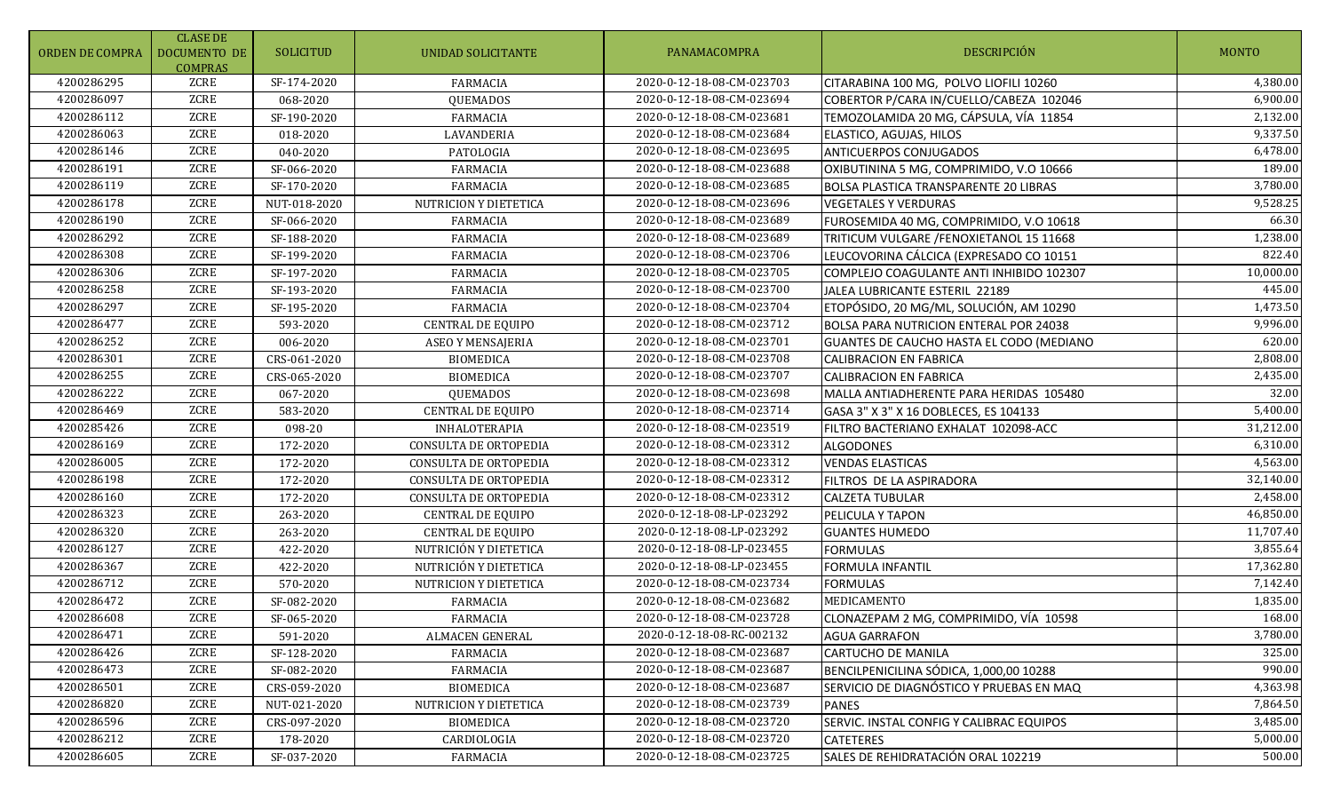| ORDEN DE COMPRA | <b>CLASE DE</b><br>DOCUMENTO DE<br><b>COMPRAS</b> | <b>SOLICITUD</b> | UNIDAD SOLICITANTE       | PANAMACOMPRA              | DESCRIPCIÓN                                   | <b>MONTO</b>          |
|-----------------|---------------------------------------------------|------------------|--------------------------|---------------------------|-----------------------------------------------|-----------------------|
| 4200286295      | ZCRE                                              | SF-174-2020      | <b>FARMACIA</b>          | 2020-0-12-18-08-CM-023703 | CITARABINA 100 MG, POLVO LIOFILI 10260        | $\overline{4,}380.00$ |
| 4200286097      | ZCRE                                              | 068-2020         | QUEMADOS                 | 2020-0-12-18-08-CM-023694 | COBERTOR P/CARA IN/CUELLO/CABEZA 102046       | 6,900.00              |
| 4200286112      | <b>ZCRE</b>                                       | SF-190-2020      | <b>FARMACIA</b>          | 2020-0-12-18-08-CM-023681 | TEMOZOLAMIDA 20 MG, CÁPSULA, VÍA 11854        | 2,132.00              |
| 4200286063      | ZCRE                                              | 018-2020         | LAVANDERIA               | 2020-0-12-18-08-CM-023684 | ELASTICO, AGUJAS, HILOS                       | 9,337.50              |
| 4200286146      | ZCRE                                              | 040-2020         | PATOLOGIA                | 2020-0-12-18-08-CM-023695 | <b>ANTICUERPOS CONJUGADOS</b>                 | 6,478.00              |
| 4200286191      | ZCRE                                              | SF-066-2020      | <b>FARMACIA</b>          | 2020-0-12-18-08-CM-023688 | OXIBUTININA 5 MG, COMPRIMIDO, V.O 10666       | 189.00                |
| 4200286119      | ZCRE                                              | SF-170-2020      | <b>FARMACIA</b>          | 2020-0-12-18-08-CM-023685 | <b>BOLSA PLASTICA TRANSPARENTE 20 LIBRAS</b>  | 3,780.00              |
| 4200286178      | ZCRE                                              | NUT-018-2020     | NUTRICION Y DIETETICA    | 2020-0-12-18-08-CM-023696 | <b>VEGETALES Y VERDURAS</b>                   | 9,528.25              |
| 4200286190      | <b>ZCRE</b>                                       | SF-066-2020      | <b>FARMACIA</b>          | 2020-0-12-18-08-CM-023689 | FUROSEMIDA 40 MG, COMPRIMIDO, V.O 10618       | 66.30                 |
| 4200286292      | <b>ZCRE</b>                                       | SF-188-2020      | <b>FARMACIA</b>          | 2020-0-12-18-08-CM-023689 | TRITICUM VULGARE /FENOXIETANOL 15 11668       | 1,238.00              |
| 4200286308      | <b>ZCRE</b>                                       | SF-199-2020      | <b>FARMACIA</b>          | 2020-0-12-18-08-CM-023706 | LEUCOVORINA CÁLCICA (EXPRESADO CO 10151       | 822.40                |
| 4200286306      | <b>ZCRE</b>                                       | SF-197-2020      | <b>FARMACIA</b>          | 2020-0-12-18-08-CM-023705 | COMPLEJO COAGULANTE ANTI INHIBIDO 102307      | 10,000.00             |
| 4200286258      | ZCRE                                              | SF-193-2020      | <b>FARMACIA</b>          | 2020-0-12-18-08-CM-023700 | JALEA LUBRICANTE ESTERIL 22189                | 445.00                |
| 4200286297      | ZCRE                                              | SF-195-2020      | <b>FARMACIA</b>          | 2020-0-12-18-08-CM-023704 | ETOPÓSIDO, 20 MG/ML, SOLUCIÓN, AM 10290       | 1,473.50              |
| 4200286477      | ZCRE                                              | 593-2020         | CENTRAL DE EQUIPO        | 2020-0-12-18-08-CM-023712 | <b>BOLSA PARA NUTRICION ENTERAL POR 24038</b> | 9,996.00              |
| 4200286252      | ZCRE                                              | 006-2020         | ASEO Y MENSAJERIA        | 2020-0-12-18-08-CM-023701 | GUANTES DE CAUCHO HASTA EL CODO (MEDIANO      | 620.00                |
| 4200286301      | <b>ZCRE</b>                                       | CRS-061-2020     | <b>BIOMEDICA</b>         | 2020-0-12-18-08-CM-023708 | <b>CALIBRACION EN FABRICA</b>                 | 2,808.00              |
| 4200286255      | ZCRE                                              | CRS-065-2020     | <b>BIOMEDICA</b>         | 2020-0-12-18-08-CM-023707 | <b>CALIBRACION EN FABRICA</b>                 | 2,435.00              |
| 4200286222      | ZCRE                                              | 067-2020         | <b>QUEMADOS</b>          | 2020-0-12-18-08-CM-023698 | MALLA ANTIADHERENTE PARA HERIDAS 105480       | 32.00                 |
| 4200286469      | <b>ZCRE</b>                                       | 583-2020         | CENTRAL DE EQUIPO        | 2020-0-12-18-08-CM-023714 | GASA 3" X 3" X 16 DOBLECES, ES 104133         | 5,400.00              |
| 4200285426      | ZCRE                                              | 098-20           | <b>INHALOTERAPIA</b>     | 2020-0-12-18-08-CM-023519 | FILTRO BACTERIANO EXHALAT 102098-ACC          | 31,212.00             |
| 4200286169      | <b>ZCRE</b>                                       | 172-2020         | CONSULTA DE ORTOPEDIA    | 2020-0-12-18-08-CM-023312 | <b>ALGODONES</b>                              | 6,310.00              |
| 4200286005      | <b>ZCRE</b>                                       | 172-2020         | CONSULTA DE ORTOPEDIA    | 2020-0-12-18-08-CM-023312 | <b>VENDAS ELASTICAS</b>                       | 4,563.00              |
| 4200286198      | ZCRE                                              | 172-2020         | CONSULTA DE ORTOPEDIA    | 2020-0-12-18-08-CM-023312 | FILTROS DE LA ASPIRADORA                      | 32,140.00             |
| 4200286160      | ZCRE                                              | 172-2020         | CONSULTA DE ORTOPEDIA    | 2020-0-12-18-08-CM-023312 | <b>CALZETA TUBULAR</b>                        | 2,458.00              |
| 4200286323      | ZCRE                                              | 263-2020         | <b>CENTRAL DE EQUIPO</b> | 2020-0-12-18-08-LP-023292 | PELICULA Y TAPON                              | 46,850.00             |
| 4200286320      | ZCRE                                              | 263-2020         | <b>CENTRAL DE EQUIPO</b> | 2020-0-12-18-08-LP-023292 | <b>GUANTES HUMEDO</b>                         | 11,707.40             |
| 4200286127      | <b>ZCRE</b>                                       | 422-2020         | NUTRICIÓN Y DIETETICA    | 2020-0-12-18-08-LP-023455 | <b>FORMULAS</b>                               | 3,855.64              |
| 4200286367      | ZCRE                                              | 422-2020         | NUTRICIÓN Y DIETETICA    | 2020-0-12-18-08-LP-023455 | <b>FORMULA INFANTIL</b>                       | 17,362.80             |
| 4200286712      | ZCRE                                              | 570-2020         | NUTRICION Y DIETETICA    | 2020-0-12-18-08-CM-023734 | <b>FORMULAS</b>                               | 7,142.40              |
| 4200286472      | <b>ZCRE</b>                                       | SF-082-2020      | <b>FARMACIA</b>          | 2020-0-12-18-08-CM-023682 | MEDICAMENTO                                   | 1,835.00              |
| 4200286608      | ZCRE                                              | SF-065-2020      | FARMACIA                 | 2020-0-12-18-08-CM-023728 | CLONAZEPAM 2 MG, COMPRIMIDO, VÍA 10598        | 168.00                |
| 4200286471      | ZCRE                                              | 591-2020         | ALMACEN GENERAL          | 2020-0-12-18-08-RC-002132 | <b>AGUA GARRAFON</b>                          | 3,780.00              |
| 4200286426      | ZCRE                                              | SF-128-2020      | <b>FARMACIA</b>          | 2020-0-12-18-08-CM-023687 | <b>CARTUCHO DE MANILA</b>                     | 325.00                |
| 4200286473      | ZCRE                                              | SF-082-2020      | FARMACIA                 | 2020-0-12-18-08-CM-023687 | BENCILPENICILINA SÓDICA, 1,000,00 10288       | 990.00                |
| 4200286501      | ZCRE                                              | CRS-059-2020     | <b>BIOMEDICA</b>         | 2020-0-12-18-08-CM-023687 | SERVICIO DE DIAGNÓSTICO Y PRUEBAS EN MAQ      | 4,363.98              |
| 4200286820      | ZCRE                                              | NUT-021-2020     | NUTRICION Y DIETETICA    | 2020-0-12-18-08-CM-023739 | <b>PANES</b>                                  | 7,864.50              |
| 4200286596      | ZCRE                                              | CRS-097-2020     | <b>BIOMEDICA</b>         | 2020-0-12-18-08-CM-023720 | SERVIC. INSTAL CONFIG Y CALIBRAC EQUIPOS      | 3,485.00              |
| 4200286212      | ZCRE                                              | 178-2020         | CARDIOLOGIA              | 2020-0-12-18-08-CM-023720 | <b>CATETERES</b>                              | 5,000.00              |
| 4200286605      | ZCRE                                              | SF-037-2020      | FARMACIA                 | 2020-0-12-18-08-CM-023725 | SALES DE REHIDRATACIÓN ORAL 102219            | 500.00                |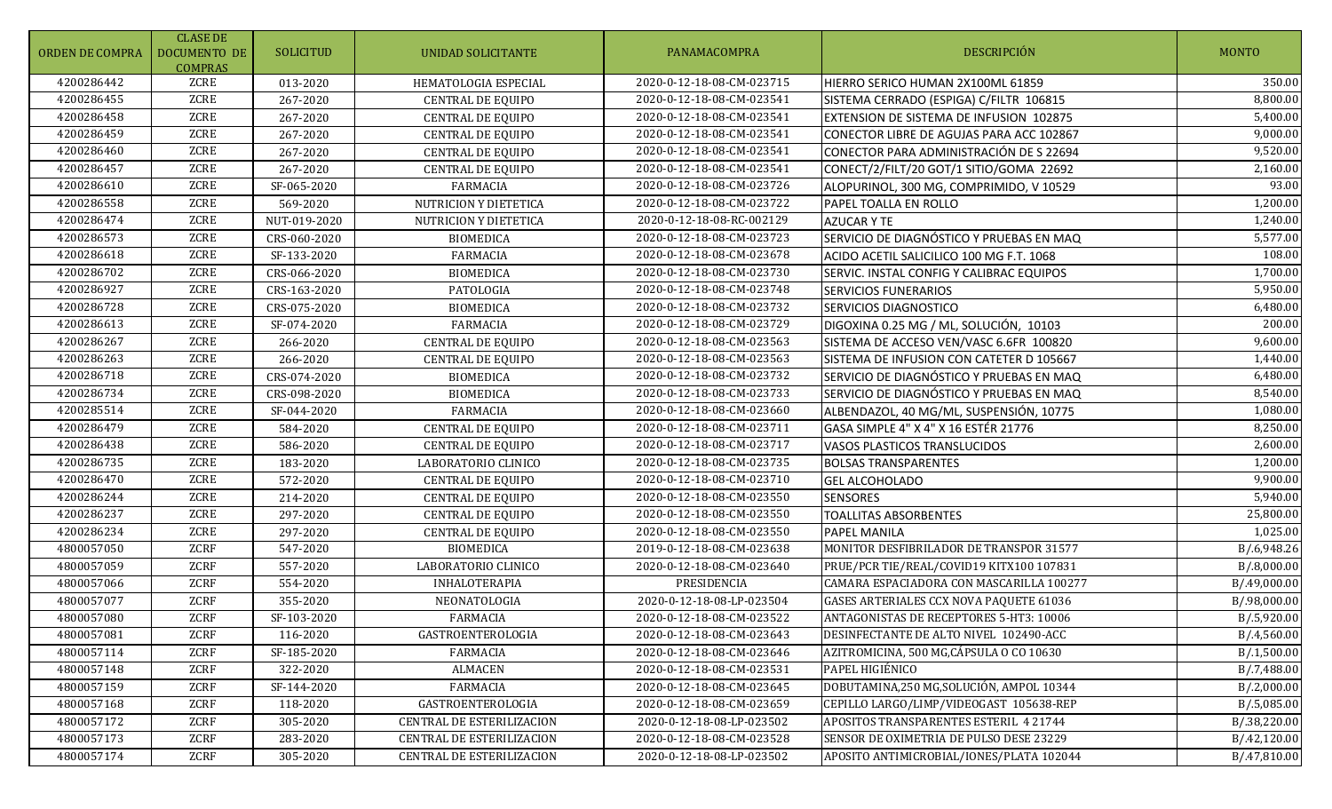| ORDEN DE COMPRA | <b>CLASE DE</b><br>DOCUMENTO DE<br><b>COMPRAS</b> | SOLICITUD    | <b>UNIDAD SOLICITANTE</b>        | PANAMACOMPRA              | DESCRIPCIÓN                                    | <b>MONTO</b> |
|-----------------|---------------------------------------------------|--------------|----------------------------------|---------------------------|------------------------------------------------|--------------|
| 4200286442      | ZCRE                                              | 013-2020     | HEMATOLOGIA ESPECIAL             | 2020-0-12-18-08-CM-023715 | HIERRO SERICO HUMAN 2X100ML 61859              | 350.00       |
| 4200286455      | ZCRE                                              | 267-2020     | <b>CENTRAL DE EQUIPO</b>         | 2020-0-12-18-08-CM-023541 | SISTEMA CERRADO (ESPIGA) C/FILTR 106815        | 8,800.00     |
| 4200286458      | <b>ZCRE</b>                                       | 267-2020     | <b>CENTRAL DE EQUIPO</b>         | 2020-0-12-18-08-CM-023541 | <b>EXTENSION DE SISTEMA DE INFUSION 102875</b> | 5,400.00     |
| 4200286459      | ZCRE                                              | 267-2020     | CENTRAL DE EQUIPO                | 2020-0-12-18-08-CM-023541 | CONECTOR LIBRE DE AGUJAS PARA ACC 102867       | 9,000.00     |
| 4200286460      | ZCRE                                              | 267-2020     | <b>CENTRAL DE EQUIPO</b>         | 2020-0-12-18-08-CM-023541 | CONECTOR PARA ADMINISTRACIÓN DE S 22694        | 9,520.00     |
| 4200286457      | ZCRE                                              | 267-2020     | <b>CENTRAL DE EQUIPO</b>         | 2020-0-12-18-08-CM-023541 | CONECT/2/FILT/20 GOT/1 SITIO/GOMA 22692        | 2,160.00     |
| 4200286610      | ZCRE                                              | SF-065-2020  | <b>FARMACIA</b>                  | 2020-0-12-18-08-CM-023726 | ALOPURINOL, 300 MG, COMPRIMIDO, V 10529        | 93.00        |
| 4200286558      | ZCRE                                              | 569-2020     | NUTRICION Y DIETETICA            | 2020-0-12-18-08-CM-023722 | PAPEL TOALLA EN ROLLO                          | 1,200.00     |
| 4200286474      | <b>ZCRE</b>                                       | NUT-019-2020 | NUTRICION Y DIETETICA            | 2020-0-12-18-08-RC-002129 | <b>AZUCAR Y TE</b>                             | 1,240.00     |
| 4200286573      | ZCRE                                              | CRS-060-2020 | <b>BIOMEDICA</b>                 | 2020-0-12-18-08-CM-023723 | SERVICIO DE DIAGNÓSTICO Y PRUEBAS EN MAQ       | 5,577.00     |
| 4200286618      | <b>ZCRE</b>                                       | SF-133-2020  | <b>FARMACIA</b>                  | 2020-0-12-18-08-CM-023678 | ACIDO ACETIL SALICILICO 100 MG F.T. 1068       | 108.00       |
| 4200286702      | ZCRE                                              | CRS-066-2020 | <b>BIOMEDICA</b>                 | 2020-0-12-18-08-CM-023730 | SERVIC. INSTAL CONFIG Y CALIBRAC EQUIPOS       | 1,700.00     |
| 4200286927      | ZCRE                                              | CRS-163-2020 | PATOLOGIA                        | 2020-0-12-18-08-CM-023748 | <b>SERVICIOS FUNERARIOS</b>                    | 5,950.00     |
| 4200286728      | <b>ZCRE</b>                                       | CRS-075-2020 | <b>BIOMEDICA</b>                 | 2020-0-12-18-08-CM-023732 | <b>SERVICIOS DIAGNOSTICO</b>                   | 6,480.00     |
| 4200286613      | <b>ZCRE</b>                                       | SF-074-2020  | <b>FARMACIA</b>                  | 2020-0-12-18-08-CM-023729 | DIGOXINA 0.25 MG / ML, SOLUCIÓN, 10103         | 200.00       |
| 4200286267      | ZCRE                                              | 266-2020     | <b>CENTRAL DE EQUIPO</b>         | 2020-0-12-18-08-CM-023563 | SISTEMA DE ACCESO VEN/VASC 6.6FR 100820        | 9,600.00     |
| 4200286263      | <b>ZCRE</b>                                       | 266-2020     | <b>CENTRAL DE EQUIPO</b>         | 2020-0-12-18-08-CM-023563 | SISTEMA DE INFUSION CON CATETER D 105667       | 1,440.00     |
| 4200286718      | ZCRE                                              | CRS-074-2020 | <b>BIOMEDICA</b>                 | 2020-0-12-18-08-CM-023732 | SERVICIO DE DIAGNÓSTICO Y PRUEBAS EN MAQ       | 6,480.00     |
| 4200286734      | <b>ZCRE</b>                                       | CRS-098-2020 | <b>BIOMEDICA</b>                 | 2020-0-12-18-08-CM-023733 | SERVICIO DE DIAGNÓSTICO Y PRUEBAS EN MAQ       | 8,540.00     |
| 4200285514      | <b>ZCRE</b>                                       | SF-044-2020  | <b>FARMACIA</b>                  | 2020-0-12-18-08-CM-023660 | ALBENDAZOL, 40 MG/ML, SUSPENSIÓN, 10775        | 1,080.00     |
| 4200286479      | ZCRE                                              | 584-2020     | CENTRAL DE EQUIPO                | 2020-0-12-18-08-CM-023711 | GASA SIMPLE 4" X 4" X 16 ESTÉR 21776           | 8,250.00     |
| 4200286438      | ZCRE                                              | 586-2020     | CENTRAL DE EQUIPO                | 2020-0-12-18-08-CM-023717 | VASOS PLASTICOS TRANSLUCIDOS                   | 2,600.00     |
| 4200286735      | ZCRE                                              | 183-2020     | LABORATORIO CLINICO              | 2020-0-12-18-08-CM-023735 | <b>BOLSAS TRANSPARENTES</b>                    | 1,200.00     |
| 4200286470      | ZCRE                                              | 572-2020     | <b>CENTRAL DE EQUIPO</b>         | 2020-0-12-18-08-CM-023710 | <b>GEL ALCOHOLADO</b>                          | 9,900.00     |
| 4200286244      | ZCRE                                              | 214-2020     | CENTRAL DE EQUIPO                | 2020-0-12-18-08-CM-023550 | <b>SENSORES</b>                                | 5,940.00     |
| 4200286237      | ZCRE                                              | 297-2020     | CENTRAL DE EQUIPO                | 2020-0-12-18-08-CM-023550 | <b>TOALLITAS ABSORBENTES</b>                   | 25,800.00    |
| 4200286234      | ZCRE                                              | 297-2020     | <b>CENTRAL DE EQUIPO</b>         | 2020-0-12-18-08-CM-023550 | <b>PAPEL MANILA</b>                            | 1,025.00     |
| 4800057050      | <b>ZCRF</b>                                       | 547-2020     | <b>BIOMEDICA</b>                 | 2019-0-12-18-08-CM-023638 | MONITOR DESFIBRILADOR DE TRANSPOR 31577        | B/.6,948.26  |
| 4800057059      | ZCRF                                              | 557-2020     | LABORATORIO CLINICO              | 2020-0-12-18-08-CM-023640 | PRUE/PCR TIE/REAL/COVID19 KITX100 107831       | B/.8,000.00  |
| 4800057066      | ZCRF                                              | 554-2020     | <b>INHALOTERAPIA</b>             | PRESIDENCIA               | CAMARA ESPACIADORA CON MASCARILLA 100277       | B/.49,000.00 |
| 4800057077      | ZCRF                                              | 355-2020     | NEONATOLOGIA                     | 2020-0-12-18-08-LP-023504 | GASES ARTERIALES CCX NOVA PAQUETE 61036        | B/.98,000.00 |
| 4800057080      | <b>ZCRF</b>                                       | SF-103-2020  | FARMACIA                         | 2020-0-12-18-08-CM-023522 | ANTAGONISTAS DE RECEPTORES 5-HT3: 10006        | B/.5,920.00  |
| 4800057081      | ZCRF                                              | 116-2020     | GASTROENTEROLOGIA                | 2020-0-12-18-08-CM-023643 | DESINFECTANTE DE ALTO NIVEL 102490-ACC         | B/4,560.00   |
| 4800057114      | ZCRF                                              | SF-185-2020  | <b>FARMACIA</b>                  | 2020-0-12-18-08-CM-023646 | AZITROMICINA, 500 MG, CÁPSULA O CO 10630       | B/.1,500.00  |
| 4800057148      | ZCRF                                              | 322-2020     | ALMACEN                          | 2020-0-12-18-08-CM-023531 | PAPEL HIGIÉNICO                                | B/.7,488.00  |
| 4800057159      | ZCRF                                              | SF-144-2020  | <b>FARMACIA</b>                  | 2020-0-12-18-08-CM-023645 | DOBUTAMINA,250 MG,SOLUCIÓN, AMPOL 10344        | B/2,000.00   |
| 4800057168      | ZCRF                                              | 118-2020     | GASTROENTEROLOGIA                | 2020-0-12-18-08-CM-023659 | CEPILLO LARGO/LIMP/VIDEOGAST 105638-REP        | B/.5,085.00  |
| 4800057172      | ZCRF                                              | 305-2020     | CENTRAL DE ESTERILIZACION        | 2020-0-12-18-08-LP-023502 | APOSITOS TRANSPARENTES ESTERIL 4 21744         | B/.38,220.00 |
| 4800057173      | ZCRF                                              | 283-2020     | CENTRAL DE ESTERILIZACION        | 2020-0-12-18-08-CM-023528 | SENSOR DE OXIMETRIA DE PULSO DESE 23229        | B/.42,120.00 |
| 4800057174      | ZCRF                                              | 305-2020     | <b>CENTRAL DE ESTERILIZACION</b> | 2020-0-12-18-08-LP-023502 | APOSITO ANTIMICROBIAL/IONES/PLATA 102044       | B/.47,810.00 |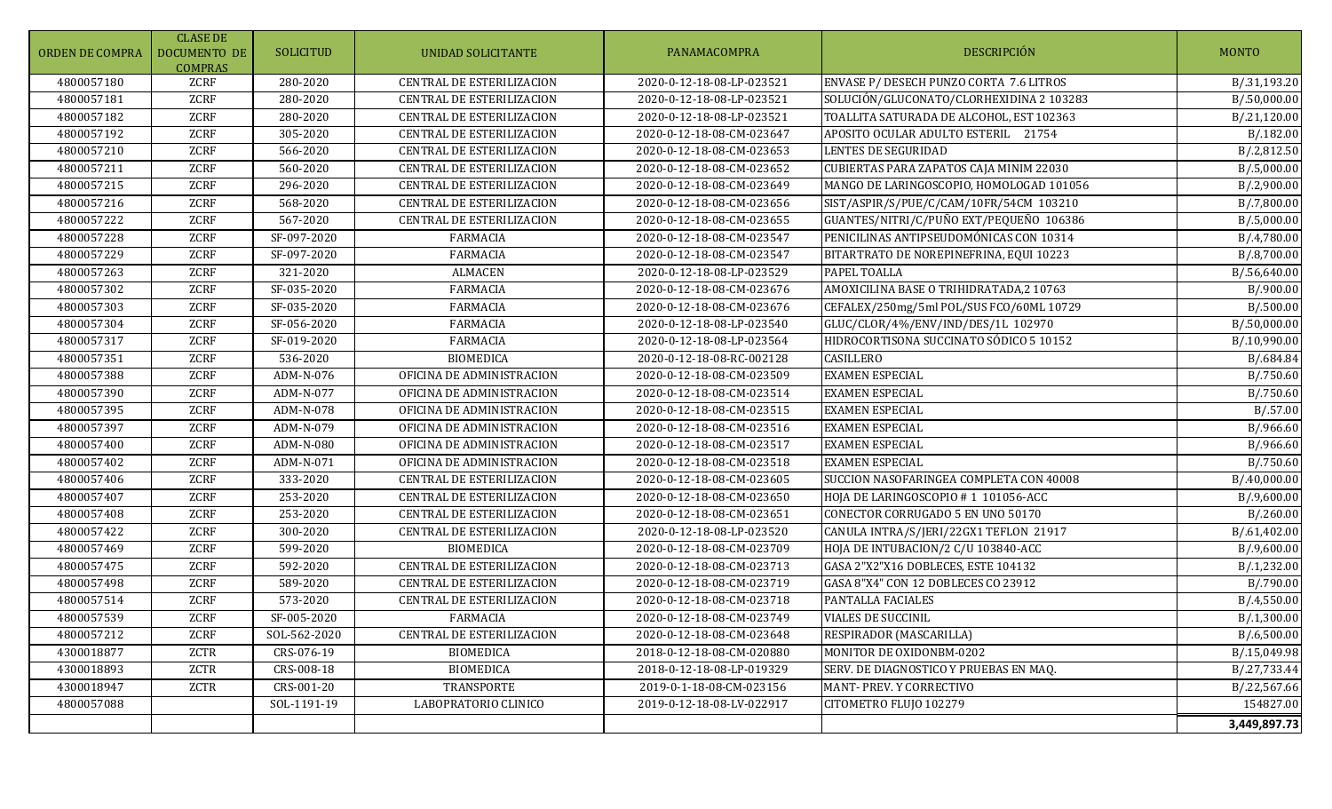| ORDEN DE COMPRA | <b>CLASE DE</b><br><b>DOCUMENTO DE</b><br><b>COMPRAS</b> | <b>SOLICITUD</b>                 | UNIDAD SOLICITANTE               | PANAMACOMPRA              | DESCRIPCIÓN                              | <b>MONTO</b>             |
|-----------------|----------------------------------------------------------|----------------------------------|----------------------------------|---------------------------|------------------------------------------|--------------------------|
| 4800057180      | ZCRF                                                     | 280-2020                         | CENTRAL DE ESTERILIZACION        | 2020-0-12-18-08-LP-023521 | ENVASE P/ DESECH PUNZO CORTA 7.6 LITROS  | B/.31,193.20             |
| 4800057181      | ZCRF                                                     | 280-2020                         | CENTRAL DE ESTERILIZACION        | 2020-0-12-18-08-LP-023521 | SOLUCIÓN/GLUCONATO/CLORHEXIDINA 2 103283 | B/.50,000.00             |
| 4800057182      | ZCRF                                                     | 280-2020                         | CENTRAL DE ESTERILIZACION        | 2020-0-12-18-08-LP-023521 | TOALLITA SATURADA DE ALCOHOL, EST 102363 | B/.21,120.00             |
| 4800057192      | ZCRF                                                     | 305-2020                         | CENTRAL DE ESTERILIZACION        | 2020-0-12-18-08-CM-023647 | APOSITO OCULAR ADULTO ESTERIL 21754      | B/.182.00                |
| 4800057210      | ZCRF                                                     | 566-2020                         | CENTRAL DE ESTERILIZACION        | 2020-0-12-18-08-CM-023653 | <b>LENTES DE SEGURIDAD</b>               | B/.2,812.50              |
| 4800057211      | ZCRF                                                     | 560-2020                         | CENTRAL DE ESTERILIZACION        | 2020-0-12-18-08-CM-023652 | CUBIERTAS PARA ZAPATOS CAJA MINIM 22030  | B/0.5,000.00             |
| 4800057215      | <b>ZCRF</b>                                              | 296-2020                         | <b>CENTRAL DE ESTERILIZACION</b> | 2020-0-12-18-08-CM-023649 | MANGO DE LARINGOSCOPIO, HOMOLOGAD 101056 | B/.2,900.00              |
| 4800057216      | <b>ZCRF</b>                                              | 568-2020                         | <b>CENTRAL DE ESTERILIZACION</b> | 2020-0-12-18-08-CM-023656 | SIST/ASPIR/S/PUE/C/CAM/10FR/54CM 103210  | $\overline{B}/.7,800.00$ |
| 4800057222      | ZCRF                                                     | 567-2020                         | CENTRAL DE ESTERILIZACION        | 2020-0-12-18-08-CM-023655 | GUANTES/NITRI/C/PUÑO EXT/PEQUEÑO 106386  | B/.5,000.00              |
| 4800057228      | ZCRF                                                     | SF-097-2020                      | <b>FARMACIA</b>                  | 2020-0-12-18-08-CM-023547 | PENICILINAS ANTIPSEUDOMÓNICAS CON 10314  | B/4,780.00               |
| 4800057229      | ZCRF                                                     | SF-097-2020                      | <b>FARMACIA</b>                  | 2020-0-12-18-08-CM-023547 | BITARTRATO DE NOREPINEFRINA, EQUI 10223  | B/.8,700.00              |
| 4800057263      | ZCRF                                                     | 321-2020                         | <b>ALMACEN</b>                   | 2020-0-12-18-08-LP-023529 | PAPEL TOALLA                             | B/.56,640.00             |
| 4800057302      | <b>ZCRF</b>                                              | $\overline{\text{SF}-035}$ -2020 | <b>FARMACIA</b>                  | 2020-0-12-18-08-CM-023676 | AMOXICILINA BASE O TRIHIDRATADA,2 10763  | B/.900.00                |
| 4800057303      | ZCRF                                                     | SF-035-2020                      | <b>FARMACIA</b>                  | 2020-0-12-18-08-CM-023676 | CEFALEX/250mg/5ml POL/SUS FCO/60ML 10729 | B/0.500.00               |
| 4800057304      | <b>ZCRF</b>                                              | $\overline{\text{SF-056-2020}}$  | <b>FARMACIA</b>                  | 2020-0-12-18-08-LP-023540 | GLUC/CLOR/4%/ENV/IND/DES/1L 102970       | B/.50,000.00             |
| 4800057317      | ZCRF                                                     | SF-019-2020                      | <b>FARMACIA</b>                  | 2020-0-12-18-08-LP-023564 | HIDROCORTISONA SUCCINATO SÓDICO 5 10152  | B/.10,990.00             |
| 4800057351      | ZCRF                                                     | 536-2020                         | <b>BIOMEDICA</b>                 | 2020-0-12-18-08-RC-002128 | CASILLERO                                | B/.684.84                |
| 4800057388      | ZCRF                                                     | ADM-N-076                        | OFICINA DE ADMINISTRACION        | 2020-0-12-18-08-CM-023509 | <b>EXAMEN ESPECIAL</b>                   | B/.750.60                |
| 4800057390      | ZCRF                                                     | ADM-N-077                        | OFICINA DE ADMINISTRACION        | 2020-0-12-18-08-CM-023514 | <b>EXAMEN ESPECIAL</b>                   | B/.750.60                |
| 4800057395      | ZCRF                                                     | ADM-N-078                        | OFICINA DE ADMINISTRACION        | 2020-0-12-18-08-CM-023515 | <b>EXAMEN ESPECIAL</b>                   | B/0.57.00                |
| 4800057397      | ZCRF                                                     | ADM-N-079                        | OFICINA DE ADMINISTRACION        | 2020-0-12-18-08-CM-023516 | <b>EXAMEN ESPECIAL</b>                   | B/.966.60                |
| 4800057400      | ZCRF                                                     | ADM-N-080                        | OFICINA DE ADMINISTRACION        | 2020-0-12-18-08-CM-023517 | <b>EXAMEN ESPECIAL</b>                   | B/.966.60                |
| 4800057402      | ZCRF                                                     | ADM-N-071                        | OFICINA DE ADMINISTRACION        | 2020-0-12-18-08-CM-023518 | <b>EXAMEN ESPECIAL</b>                   | B/.750.60                |
| 4800057406      | <b>ZCRF</b>                                              | 333-2020                         | <b>CENTRAL DE ESTERILIZACION</b> | 2020-0-12-18-08-CM-023605 | SUCCION NASOFARINGEA COMPLETA CON 40008  | B/.40,000.00             |
| 4800057407      | ZCRF                                                     | 253-2020                         | CENTRAL DE ESTERILIZACION        | 2020-0-12-18-08-CM-023650 | HOJA DE LARINGOSCOPIO #1 101056-ACC      | B/0.9,600.00             |
| 4800057408      | ZCRF                                                     | 253-2020                         | CENTRAL DE ESTERILIZACION        | 2020-0-12-18-08-CM-023651 | CONECTOR CORRUGADO 5 EN UNO 50170        | B/0.260.00               |
| 4800057422      | ZCRF                                                     | 300-2020                         | CENTRAL DE ESTERILIZACION        | 2020-0-12-18-08-LP-023520 | CANULA INTRA/S/JERI/22GX1 TEFLON 21917   | B/.61,402.00             |
| 4800057469      | ZCRF                                                     | 599-2020                         | <b>BIOMEDICA</b>                 | 2020-0-12-18-08-CM-023709 | HOJA DE INTUBACION/2 C/U 103840-ACC      | B/.9,600.00              |
| 4800057475      | ZCRF                                                     | 592-2020                         | CENTRAL DE ESTERILIZACION        | 2020-0-12-18-08-CM-023713 | GASA 2"X2"X16 DOBLECES, ESTE 104132      | B/.1,232.00              |
| 4800057498      | ZCRF                                                     | 589-2020                         | CENTRAL DE ESTERILIZACION        | 2020-0-12-18-08-CM-023719 | GASA 8"X4" CON 12 DOBLECES CO 23912      | B/.790.00                |
| 4800057514      | ZCRF                                                     | $\overline{57}3 - 2020$          | <b>CENTRAL DE ESTERILIZACION</b> | 2020-0-12-18-08-CM-023718 | PANTALLA FACIALES                        | B/.4,550.00              |
| 4800057539      | ZCRF                                                     | SF-005-2020                      | <b>FARMACIA</b>                  | 2020-0-12-18-08-CM-023749 | <b>VIALES DE SUCCINIL</b>                | B/.1,300.00              |
| 4800057212      | ZCRF                                                     | SOL-562-2020                     | CENTRAL DE ESTERILIZACION        | 2020-0-12-18-08-CM-023648 | RESPIRADOR (MASCARILLA)                  | B/.6,500.00              |
| 4300018877      | ZCTR                                                     | CRS-076-19                       | <b>BIOMEDICA</b>                 | 2018-0-12-18-08-CM-020880 | MONITOR DE OXIDONBM-0202                 | B/.15,049.98             |
| 4300018893      | ZCTR                                                     | CRS-008-18                       | <b>BIOMEDICA</b>                 | 2018-0-12-18-08-LP-019329 | SERV. DE DIAGNOSTICO Y PRUEBAS EN MAQ.   | B/.27,733.44             |
| 4300018947      | ZCTR                                                     | CRS-001-20                       | TRANSPORTE                       | 2019-0-1-18-08-CM-023156  | MANT-PREV. Y CORRECTIVO                  | B/.22,567.66             |
| 4800057088      |                                                          | SOL-1191-19                      | LABOPRATORIO CLINICO             | 2019-0-12-18-08-LV-022917 | CITOMETRO FLUJO 102279                   | 154827.00                |
|                 |                                                          |                                  |                                  |                           |                                          | 3,449,897.73             |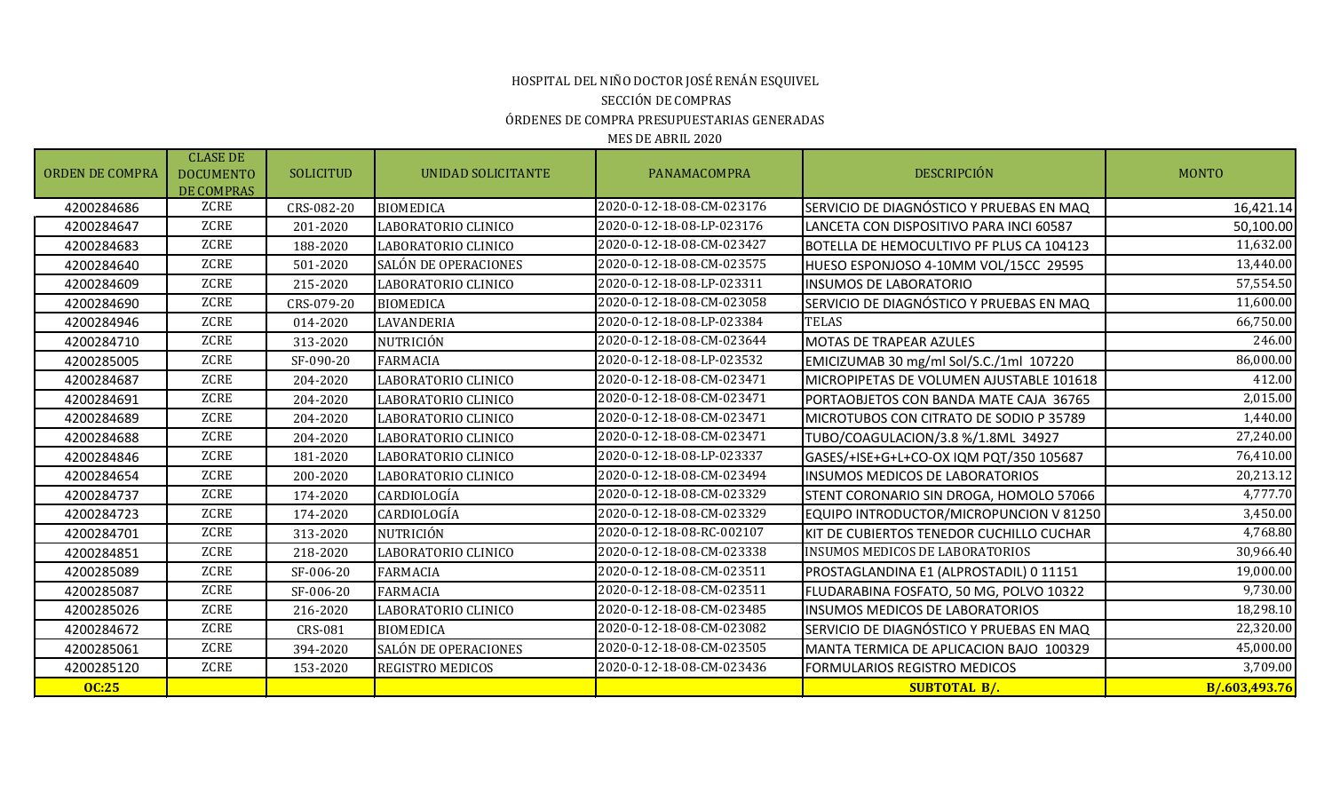## HOSPITAL DEL NIÑO DOCTOR JOSÉ RENÁN ESQUIVEL SECCIÓN DE COMPRAS ÓRDENES DE COMPRA PRESUPUESTARIAS GENERADAS

| <b>ORDEN DE COMPRA</b> | <b>CLASE DE</b><br><b>DOCUMENTO</b><br><b>DE COMPRAS</b> | <b>SOLICITUD</b> | UNIDAD SOLICITANTE      | PANAMACOMPRA              | <b>DESCRIPCIÓN</b>                       | <b>MONTO</b>  |
|------------------------|----------------------------------------------------------|------------------|-------------------------|---------------------------|------------------------------------------|---------------|
| 4200284686             | ZCRE                                                     | CRS-082-20       | <b>BIOMEDICA</b>        | 2020-0-12-18-08-CM-023176 | SERVICIO DE DIAGNÓSTICO Y PRUEBAS EN MAQ | 16,421.14     |
| 4200284647             | ZCRE                                                     | 201-2020         | LABORATORIO CLINICO     | 2020-0-12-18-08-LP-023176 | LANCETA CON DISPOSITIVO PARA INCI 60587  | 50,100.00     |
| 4200284683             | <b>ZCRE</b>                                              | 188-2020         | LABORATORIO CLINICO     | 2020-0-12-18-08-CM-023427 | BOTELLA DE HEMOCULTIVO PF PLUS CA 104123 | 11,632.00     |
| 4200284640             | ZCRE                                                     | 501-2020         | SALÓN DE OPERACIONES    | 2020-0-12-18-08-CM-023575 | HUESO ESPONJOSO 4-10MM VOL/15CC 29595    | 13,440.00     |
| 4200284609             | ZCRE                                                     | 215-2020         | LABORATORIO CLINICO     | 2020-0-12-18-08-LP-023311 | <b>INSUMOS DE LABORATORIO</b>            | 57,554.50     |
| 4200284690             | ZCRE                                                     | CRS-079-20       | <b>BIOMEDICA</b>        | 2020-0-12-18-08-CM-023058 | SERVICIO DE DIAGNÓSTICO Y PRUEBAS EN MAQ | 11,600.00     |
| 4200284946             | ZCRE                                                     | 014-2020         | LAVANDERIA              | 2020-0-12-18-08-LP-023384 | <b>TELAS</b>                             | 66,750.00     |
| 4200284710             | ZCRE                                                     | 313-2020         | NUTRICIÓN               | 2020-0-12-18-08-CM-023644 | <b>MOTAS DE TRAPEAR AZULES</b>           | 246.00        |
| 4200285005             | ZCRE                                                     | SF-090-20        | <b>FARMACIA</b>         | 2020-0-12-18-08-LP-023532 | EMICIZUMAB 30 mg/ml Sol/S.C./1ml 107220  | 86,000.00     |
| 4200284687             | ZCRE                                                     | 204-2020         | LABORATORIO CLINICO     | 2020-0-12-18-08-CM-023471 | MICROPIPETAS DE VOLUMEN AJUSTABLE 101618 | 412.00        |
| 4200284691             | ZCRE                                                     | 204-2020         | LABORATORIO CLINICO     | 2020-0-12-18-08-CM-023471 | PORTAOBJETOS CON BANDA MATE CAJA 36765   | 2,015.00      |
| 4200284689             | ZCRE                                                     | 204-2020         | LABORATORIO CLINICO     | 2020-0-12-18-08-CM-023471 | MICROTUBOS CON CITRATO DE SODIO P 35789  | 1,440.00      |
| 4200284688             | ZCRE                                                     | 204-2020         | LABORATORIO CLINICO     | 2020-0-12-18-08-CM-023471 | TUBO/COAGULACION/3.8 %/1.8ML 34927       | 27,240.00     |
| 4200284846             | ZCRE                                                     | 181-2020         | LABORATORIO CLINICO     | 2020-0-12-18-08-LP-023337 | GASES/+ISE+G+L+CO-OX IQM PQT/350 105687  | 76,410.00     |
| 4200284654             | <b>ZCRE</b>                                              | 200-2020         | LABORATORIO CLINICO     | 2020-0-12-18-08-CM-023494 | <b>INSUMOS MEDICOS DE LABORATORIOS</b>   | 20,213.12     |
| 4200284737             | ZCRE                                                     | 174-2020         | CARDIOLOGÍA             | 2020-0-12-18-08-CM-023329 | STENT CORONARIO SIN DROGA, HOMOLO 57066  | 4,777.70      |
| 4200284723             | ZCRE                                                     | 174-2020         | CARDIOLOGÍA             | 2020-0-12-18-08-CM-023329 | EQUIPO INTRODUCTOR/MICROPUNCION V 81250  | 3,450.00      |
| 4200284701             | ZCRE                                                     | 313-2020         | NUTRICIÓN               | 2020-0-12-18-08-RC-002107 | KIT DE CUBIERTOS TENEDOR CUCHILLO CUCHAR | 4,768.80      |
| 4200284851             | ZCRE                                                     | 218-2020         | LABORATORIO CLINICO     | 2020-0-12-18-08-CM-023338 | <b>INSUMOS MEDICOS DE LABORATORIOS</b>   | 30,966.40     |
| 4200285089             | <b>ZCRE</b>                                              | SF-006-20        | <b>FARMACIA</b>         | 2020-0-12-18-08-CM-023511 | PROSTAGLANDINA E1 (ALPROSTADIL) 0 11151  | 19,000.00     |
| 4200285087             | ZCRE                                                     | SF-006-20        | <b>FARMACIA</b>         | 2020-0-12-18-08-CM-023511 | FLUDARABINA FOSFATO, 50 MG, POLVO 10322  | 9,730.00      |
| 4200285026             | ZCRE                                                     | 216-2020         | LABORATORIO CLINICO     | 2020-0-12-18-08-CM-023485 | <b>INSUMOS MEDICOS DE LABORATORIOS</b>   | 18,298.10     |
| 4200284672             | ZCRE                                                     | <b>CRS-081</b>   | <b>BIOMEDICA</b>        | 2020-0-12-18-08-CM-023082 | SERVICIO DE DIAGNÓSTICO Y PRUEBAS EN MAQ | 22,320.00     |
| 4200285061             | ZCRE                                                     | 394-2020         | SALÓN DE OPERACIONES    | 2020-0-12-18-08-CM-023505 | MANTA TERMICA DE APLICACION BAJO 100329  | 45,000.00     |
| 4200285120             | ZCRE                                                     | 153-2020         | <b>REGISTRO MEDICOS</b> | 2020-0-12-18-08-CM-023436 | <b>FORMULARIOS REGISTRO MEDICOS</b>      | 3,709.00      |
| <b>OC:25</b>           |                                                          |                  |                         |                           | <b>SUBTOTAL B/.</b>                      | B/.603,493.76 |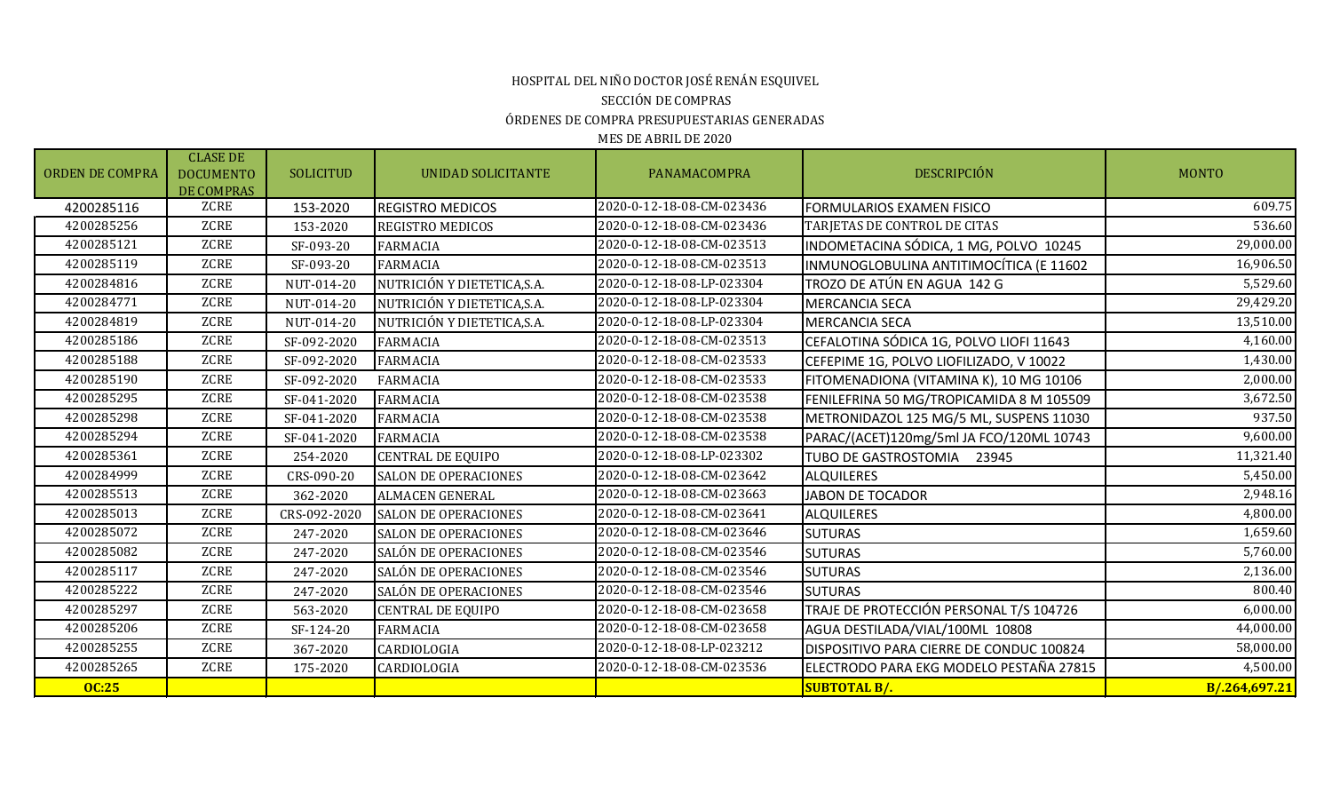# ÓRDENES DE COMPRA PRESUPUESTARIAS GENERADAS HOSPITAL DEL NIÑO DOCTOR JOSÉ RENÁN ESQUIVEL SECCIÓN DE COMPRAS

| <b>ORDEN DE COMPRA</b> | <b>CLASE DE</b><br><b>DOCUMENTO</b><br>DE COMPRAS | <b>SOLICITUD</b> | <b>UNIDAD SOLICITANTE</b>   | PANAMACOMPRA              | <b>DESCRIPCIÓN</b>                       | <b>MONTO</b>  |
|------------------------|---------------------------------------------------|------------------|-----------------------------|---------------------------|------------------------------------------|---------------|
| 4200285116             | ZCRE                                              | 153-2020         | <b>REGISTRO MEDICOS</b>     | 2020-0-12-18-08-CM-023436 | FORMULARIOS EXAMEN FISICO                | 609.75        |
| 4200285256             | ZCRE                                              | 153-2020         | <b>REGISTRO MEDICOS</b>     | 2020-0-12-18-08-CM-023436 | TARJETAS DE CONTROL DE CITAS             | 536.60        |
| 4200285121             | <b>ZCRE</b>                                       | SF-093-20        | <b>FARMACIA</b>             | 2020-0-12-18-08-CM-023513 | INDOMETACINA SÓDICA, 1 MG, POLVO 10245   | 29,000.00     |
| 4200285119             | <b>ZCRE</b>                                       | SF-093-20        | <b>FARMACIA</b>             | 2020-0-12-18-08-CM-023513 | INMUNOGLOBULINA ANTITIMOCÍTICA (E 11602  | 16,906.50     |
| 4200284816             | <b>ZCRE</b>                                       | NUT-014-20       | NUTRICIÓN Y DIETETICA, S.A. | 2020-0-12-18-08-LP-023304 | TROZO DE ATÚN EN AGUA 142 G              | 5,529.60      |
| 4200284771             | <b>ZCRE</b>                                       | NUT-014-20       | NUTRICIÓN Y DIETETICA, S.A. | 2020-0-12-18-08-LP-023304 | <b>MERCANCIA SECA</b>                    | 29,429.20     |
| 4200284819             | <b>ZCRE</b>                                       | NUT-014-20       | NUTRICIÓN Y DIETETICA, S.A. | 2020-0-12-18-08-LP-023304 | <b>MERCANCIA SECA</b>                    | 13,510.00     |
| 4200285186             | <b>ZCRE</b>                                       | SF-092-2020      | <b>FARMACIA</b>             | 2020-0-12-18-08-CM-023513 | CEFALOTINA SÓDICA 1G, POLVO LIOFI 11643  | 4,160.00      |
| 4200285188             | <b>ZCRE</b>                                       | SF-092-2020      | <b>FARMACIA</b>             | 2020-0-12-18-08-CM-023533 | CEFEPIME 1G, POLVO LIOFILIZADO, V 10022  | 1,430.00      |
| 4200285190             | <b>ZCRE</b>                                       | SF-092-2020      | <b>FARMACIA</b>             | 2020-0-12-18-08-CM-023533 | FITOMENADIONA (VITAMINA K), 10 MG 10106  | 2,000.00      |
| 4200285295             | ZCRE                                              | SF-041-2020      | <b>FARMACIA</b>             | 2020-0-12-18-08-CM-023538 | FENILEFRINA 50 MG/TROPICAMIDA 8 M 105509 | 3,672.50      |
| 4200285298             | <b>ZCRE</b>                                       | SF-041-2020      | <b>FARMACIA</b>             | 2020-0-12-18-08-CM-023538 | METRONIDAZOL 125 MG/5 ML, SUSPENS 11030  | 937.50        |
| 4200285294             | <b>ZCRE</b>                                       | SF-041-2020      | <b>FARMACIA</b>             | 2020-0-12-18-08-CM-023538 | PARAC/(ACET)120mg/5ml JA FCO/120ML 10743 | 9,600.00      |
| 4200285361             | <b>ZCRE</b>                                       | 254-2020         | <b>CENTRAL DE EQUIPO</b>    | 2020-0-12-18-08-LP-023302 | TUBO DE GASTROSTOMIA 23945               | 11,321.40     |
| 4200284999             | <b>ZCRE</b>                                       | CRS-090-20       | <b>SALON DE OPERACIONES</b> | 2020-0-12-18-08-CM-023642 | <b>ALQUILERES</b>                        | 5,450.00      |
| 4200285513             | <b>ZCRE</b>                                       | 362-2020         | <b>ALMACEN GENERAL</b>      | 2020-0-12-18-08-CM-023663 | <b>JABON DE TOCADOR</b>                  | 2,948.16      |
| 4200285013             | <b>ZCRE</b>                                       | CRS-092-2020     | <b>SALON DE OPERACIONES</b> | 2020-0-12-18-08-CM-023641 | <b>ALQUILERES</b>                        | 4,800.00      |
| 4200285072             | ZCRE                                              | 247-2020         | <b>SALON DE OPERACIONES</b> | 2020-0-12-18-08-CM-023646 | <b>SUTURAS</b>                           | 1,659.60      |
| 4200285082             | <b>ZCRE</b>                                       | 247-2020         | SALÓN DE OPERACIONES        | 2020-0-12-18-08-CM-023546 | <b>SUTURAS</b>                           | 5,760.00      |
| 4200285117             | <b>ZCRE</b>                                       | 247-2020         | SALÓN DE OPERACIONES        | 2020-0-12-18-08-CM-023546 | <b>SUTURAS</b>                           | 2,136.00      |
| 4200285222             | <b>ZCRE</b>                                       | 247-2020         | SALÓN DE OPERACIONES        | 2020-0-12-18-08-CM-023546 | <b>SUTURAS</b>                           | 800.40        |
| 4200285297             | <b>ZCRE</b>                                       | 563-2020         | <b>CENTRAL DE EQUIPO</b>    | 2020-0-12-18-08-CM-023658 | TRAJE DE PROTECCIÓN PERSONAL T/S 104726  | 6,000.00      |
| 4200285206             | <b>ZCRE</b>                                       | SF-124-20        | <b>FARMACIA</b>             | 2020-0-12-18-08-CM-023658 | AGUA DESTILADA/VIAL/100ML 10808          | 44,000.00     |
| 4200285255             | ZCRE                                              | 367-2020         | CARDIOLOGIA                 | 2020-0-12-18-08-LP-023212 | DISPOSITIVO PARA CIERRE DE CONDUC 100824 | 58,000.00     |
| 4200285265             | <b>ZCRE</b>                                       | 175-2020         | CARDIOLOGIA                 | 2020-0-12-18-08-CM-023536 | ELECTRODO PARA EKG MODELO PESTAÑA 27815  | 4,500.00      |
| <b>OC:25</b>           |                                                   |                  |                             |                           | <b>SUBTOTAL B/.</b>                      | B/.264,697.21 |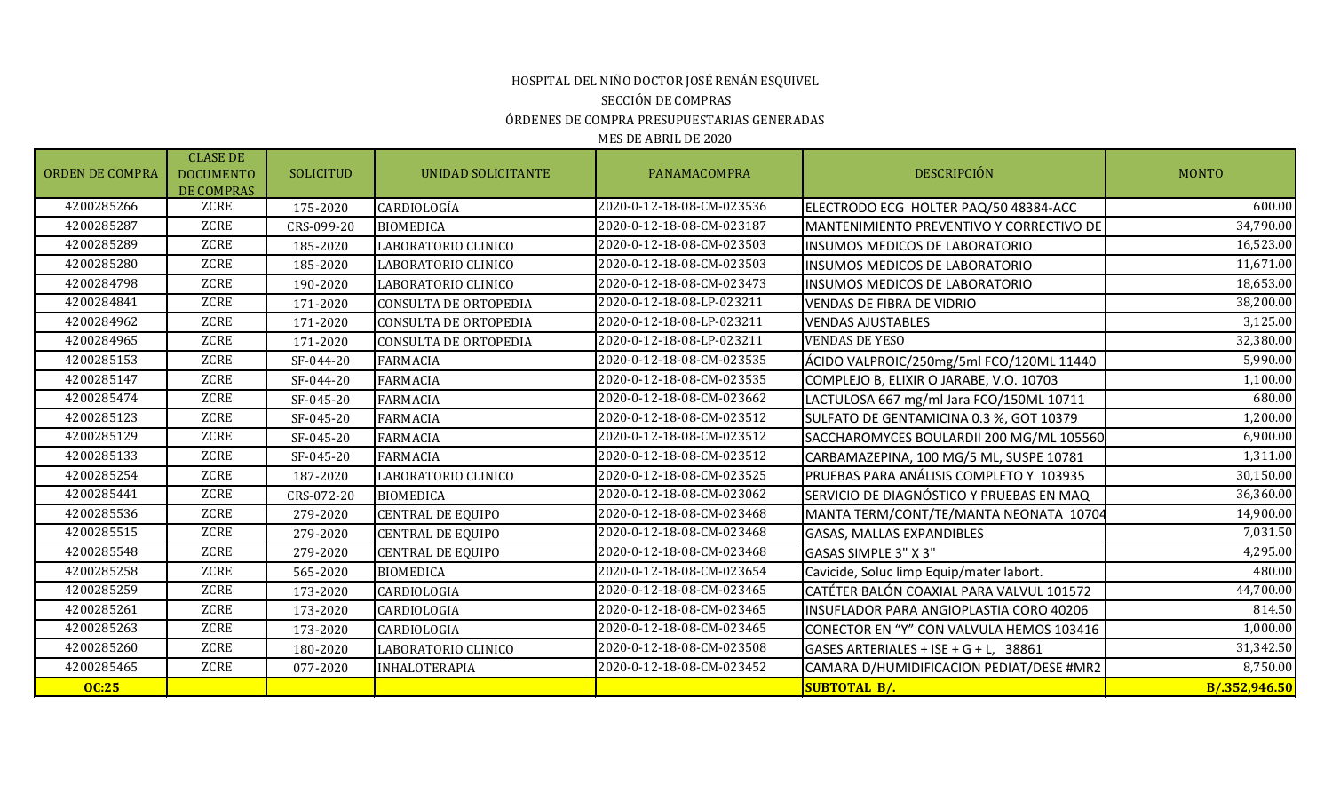# HOSPITAL DEL NIÑO DOCTOR JOSÉ RENÁN ESQUIVEL SECCIÓN DE COMPRAS ÓRDENES DE COMPRA PRESUPUESTARIAS GENERADAS

| <b>ORDEN DE COMPRA</b> | <b>CLASE DE</b><br><b>DOCUMENTO</b><br><b>DE COMPRAS</b> | <b>SOLICITUD</b> | UNIDAD SOLICITANTE           | PANAMACOMPRA              | <b>DESCRIPCIÓN</b>                       | <b>MONTO</b>  |
|------------------------|----------------------------------------------------------|------------------|------------------------------|---------------------------|------------------------------------------|---------------|
| 4200285266             | ZCRE                                                     | 175-2020         | CARDIOLOGÍA                  | 2020-0-12-18-08-CM-023536 | ELECTRODO ECG HOLTER PAQ/50 48384-ACC    | 600.00        |
| 4200285287             | <b>ZCRE</b>                                              | CRS-099-20       | <b>BIOMEDICA</b>             | 2020-0-12-18-08-CM-023187 | MANTENIMIENTO PREVENTIVO Y CORRECTIVO DE | 34,790.00     |
| 4200285289             | <b>ZCRE</b>                                              | 185-2020         | LABORATORIO CLINICO          | 2020-0-12-18-08-CM-023503 | <b>INSUMOS MEDICOS DE LABORATORIO</b>    | 16,523.00     |
| 4200285280             | ZCRE                                                     | 185-2020         | LABORATORIO CLINICO          | 2020-0-12-18-08-CM-023503 | <b>INSUMOS MEDICOS DE LABORATORIO</b>    | 11,671.00     |
| 4200284798             | ZCRE                                                     | 190-2020         | LABORATORIO CLINICO          | 2020-0-12-18-08-CM-023473 | <b>INSUMOS MEDICOS DE LABORATORIO</b>    | 18,653.00     |
| 4200284841             | ZCRE                                                     | 171-2020         | <b>CONSULTA DE ORTOPEDIA</b> | 2020-0-12-18-08-LP-023211 | <b>VENDAS DE FIBRA DE VIDRIO</b>         | 38,200.00     |
| 4200284962             | ZCRE                                                     | 171-2020         | CONSULTA DE ORTOPEDIA        | 2020-0-12-18-08-LP-023211 | <b>VENDAS AJUSTABLES</b>                 | 3,125.00      |
| 4200284965             | <b>ZCRE</b>                                              | 171-2020         | <b>CONSULTA DE ORTOPEDIA</b> | 2020-0-12-18-08-LP-023211 | <b>VENDAS DE YESO</b>                    | 32,380.00     |
| 4200285153             | <b>ZCRE</b>                                              | SF-044-20        | <b>FARMACIA</b>              | 2020-0-12-18-08-CM-023535 | ÁCIDO VALPROIC/250mg/5ml FCO/120ML 11440 | 5,990.00      |
| 4200285147             | ZCRE                                                     | SF-044-20        | <b>FARMACIA</b>              | 2020-0-12-18-08-CM-023535 | COMPLEJO B, ELIXIR O JARABE, V.O. 10703  | 1,100.00      |
| 4200285474             | ZCRE                                                     | SF-045-20        | <b>FARMACIA</b>              | 2020-0-12-18-08-CM-023662 | LACTULOSA 667 mg/ml Jara FCO/150ML 10711 | 680.00        |
| 4200285123             | ZCRE                                                     | SF-045-20        | <b>FARMACIA</b>              | 2020-0-12-18-08-CM-023512 | SULFATO DE GENTAMICINA 0.3 %, GOT 10379  | 1,200.00      |
| 4200285129             | ZCRE                                                     | SF-045-20        | <b>FARMACIA</b>              | 2020-0-12-18-08-CM-023512 | SACCHAROMYCES BOULARDII 200 MG/ML 105560 | 6,900.00      |
| 4200285133             | ZCRE                                                     | SF-045-20        | <b>FARMACIA</b>              | 2020-0-12-18-08-CM-023512 | CARBAMAZEPINA, 100 MG/5 ML, SUSPE 10781  | 1,311.00      |
| 4200285254             | <b>ZCRE</b>                                              | 187-2020         | LABORATORIO CLINICO          | 2020-0-12-18-08-CM-023525 | PRUEBAS PARA ANÁLISIS COMPLETO Y 103935  | 30,150.00     |
| 4200285441             | ZCRE                                                     | CRS-072-20       | <b>BIOMEDICA</b>             | 2020-0-12-18-08-CM-023062 | SERVICIO DE DIAGNÓSTICO Y PRUEBAS EN MAQ | 36,360.00     |
| 4200285536             | ZCRE                                                     | 279-2020         | <b>CENTRAL DE EQUIPO</b>     | 2020-0-12-18-08-CM-023468 | MANTA TERM/CONT/TE/MANTA NEONATA 10704   | 14,900.00     |
| 4200285515             | <b>ZCRE</b>                                              | 279-2020         | CENTRAL DE EQUIPO            | 2020-0-12-18-08-CM-023468 | <b>GASAS, MALLAS EXPANDIBLES</b>         | 7,031.50      |
| 4200285548             | <b>ZCRE</b>                                              | 279-2020         | CENTRAL DE EQUIPO            | 2020-0-12-18-08-CM-023468 | GASAS SIMPLE 3" X 3"                     | 4,295.00      |
| 4200285258             | <b>ZCRE</b>                                              | 565-2020         | <b>BIOMEDICA</b>             | 2020-0-12-18-08-CM-023654 | Cavicide, Soluc limp Equip/mater labort. | 480.00        |
| 4200285259             | ZCRE                                                     | 173-2020         | CARDIOLOGIA                  | 2020-0-12-18-08-CM-023465 | CATÉTER BALÓN COAXIAL PARA VALVUL 101572 | 44,700.00     |
| 4200285261             | <b>ZCRE</b>                                              | 173-2020         | CARDIOLOGIA                  | 2020-0-12-18-08-CM-023465 | INSUFLADOR PARA ANGIOPLASTIA CORO 40206  | 814.50        |
| 4200285263             | <b>ZCRE</b>                                              | 173-2020         | CARDIOLOGIA                  | 2020-0-12-18-08-CM-023465 | CONECTOR EN "Y" CON VALVULA HEMOS 103416 | 1,000.00      |
| 4200285260             | <b>ZCRE</b>                                              | 180-2020         | LABORATORIO CLINICO          | 2020-0-12-18-08-CM-023508 | GASES ARTERIALES + ISE + G + L, 38861    | 31,342.50     |
| 4200285465             | <b>ZCRE</b>                                              | 077-2020         | INHALOTERAPIA                | 2020-0-12-18-08-CM-023452 | CAMARA D/HUMIDIFICACION PEDIAT/DESE #MR2 | 8,750.00      |
| <b>OC:25</b>           |                                                          |                  |                              |                           | <b>SUBTOTAL B/.</b>                      | B/.352,946.50 |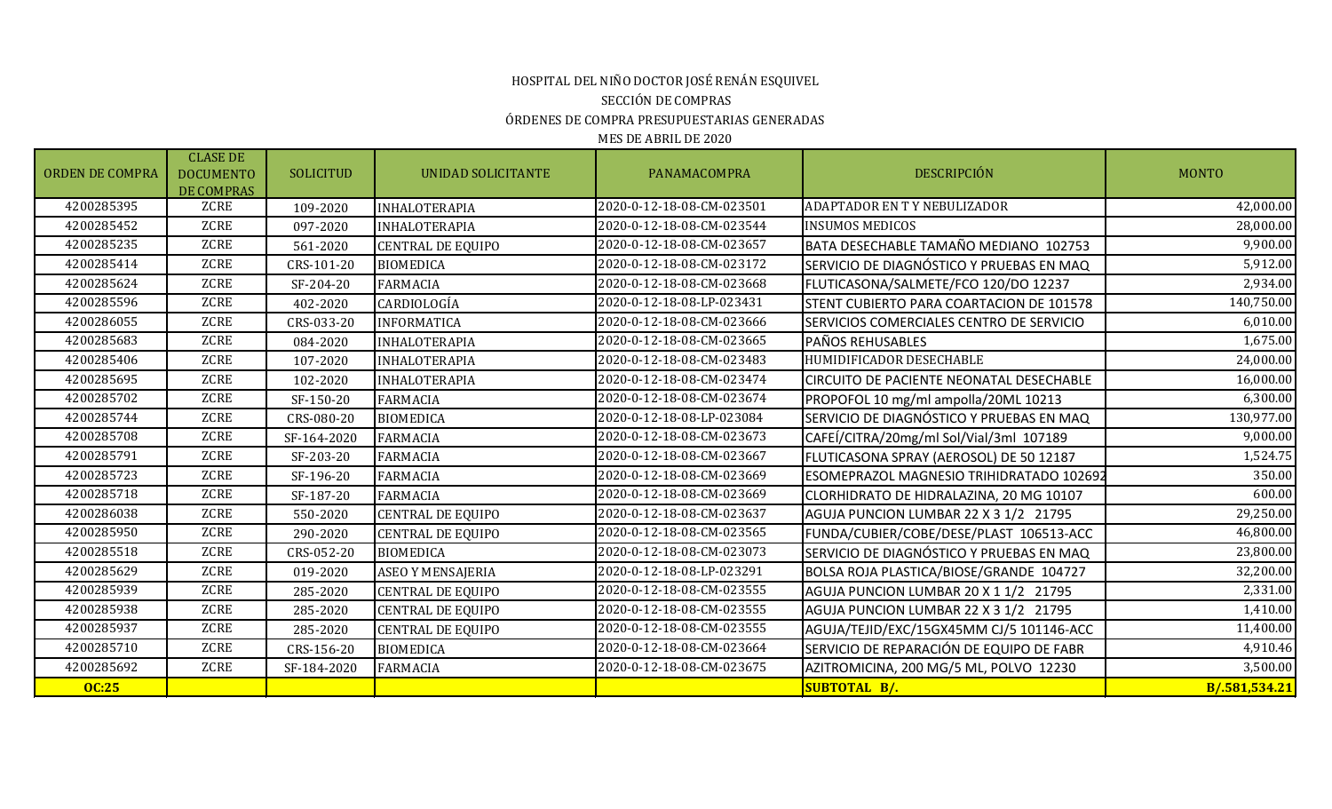#### HOSPITAL DEL NIÑO DOCTOR JOSÉ RENÁN ESQUIVEL SECCIÓN DE COMPRAS ÓRDENES DE COMPRA PRESUPUESTARIAS GENERADAS MES DE ABRIL DE 2020

ORDEN DE COMPRA CLASE DE DOCUMENTO DE COMPRAS SOLICITUD | UNIDAD-SOLICITANTE | PANAMACOMPRA | DESCRIPCIÓN | MONTO 4200285395 ZCRE 109-2020 INHALOTERAPIA 2020-0-12-18-08-CM-023501 ADAPTADOR EN T Y NEBULIZADOR 42,000.00 4200285452 ZCRE 097-2020 INHALOTERAPIA 2020-0-12-18-08-CM-023544 INSUMOS MEDICOS 28,000.00 4200285235 ZCRE 561-2020 CENTRAL DE EQUIPO 2020-0-12-18-08-CM-023657 BATA DESECHABLE TAMAÑO MEDIANO 102753 9,900.00 4200285414 ZCRE CRS-101-20 BIOMEDICA 2020-0-12-18-08-CM-023172 SERVICIO DE DIAGNÓSTICO Y PRUEBAS EN MAQ 5,912.00<br>2020-0-12-18-08-CM-023668 FIUTICASONA/SALMETE/FCO 120/DO 12237 2.934.00 4200285624 | ZCRE | SF-204-20 FARMACIA | 2020-0-12-18-08-CM-023668 FLUTICASONA/SALMETE/FCO 120/DO 12237 4200285596 ZCRE 402-2020 CARDIOLOGÍA 2020-0-12-18-08-LP-023431 STENT CUBIERTO PARA COARTACION DE 101578 140,750.00 4200286055 ZCRE CRS-033-20 INFORMATICA 2020-0-12-18-08-CM-023666 SERVICIOS COMERCIALES CENTRO DE SERVICIO 6,010.00 4200285683 | ZCRE | 084-2020 |INHALOTERAPIA | 2020-0-12-18-08-CM-023665 |PAÑOS REHUSABLES | 2020-0-12-18-08-CM 4200285406 ZCRE 107-2020 INHALOTERAPIA 2020-0-12-18-08-CM-023483 HUMIDIFICADOR DESECHABLE 24,000.00 4200285695 | ZCRE | 102-2020 |INHALOTERAPIA | 2020-0-12-18-08-CM-023474 | CIRCUITO DE PACIENTE NEONATAL DESECHABLE | 16,000.00 4200285702 | ZCRE | SF-150-20 FARMACIA | 2020-0-12-18-08-CM-023674 PROPOFOL 10 mg/ml ampolla/20ML 10213 | 2020-0-12-18-08-CM-023674 | PROPOFOL 10 mg/ml ampolla/20ML 10213 4200285744 ZCRE CRS-080-20 BIOMEDICA 2020-0-12-18-08-LP-023084 SERVICIO DE DIAGNÓSTICO Y PRUEBAS EN MAQ 130,977.00<br>2020-0-12-18-08-CM-023673 CAFEÍ/CITRA/20mg/ml Sol/Vial/3ml 107189 107089 107089 9,000.00 42020 FARMACIA 2020-0-12-18-08-CM-023673 CAFEÍ/CITRA/20mg/ml Sol/Vial/3ml 107189 PM 4200285791 ZCRE SF-203-20 FARMACIA 2020-0-12-18-08-CM-023667 FLUTICASONA SPRAY (AEROSOL) DE 50 12187 1,524.75 4200285723 ZCRE SF-196-20 FARMACIA 2020-0-12-18-08-CM-023669 ESOMEPRAZOL MAGNESIO TRIHIDRATADO 102692 350.00<br>2020-0-12-18-08-CM-023669 CLORHIDRATO DE HIDRALAZINA 20 MG 10107 3600.00 4200285718 | ZCRE | SF-187-20 FARMACIA | 2020-0-12-18-08-CM-023669 CLORHIDRATO DE HIDRALAZINA, 20 MG 10107 4200286038 ZCRE 550-2020 CENTRAL DE EQUIPO 2020-0-12-18-08-CM-023637 AGUJA PUNCION LUMBAR 22 X 3 1/2 21795 29,250.00  $\begin{array}{c|c|c|c|c|c|c|c} \hline &\multicolumn{1}{c|}{ZGRE} & \multicolumn{1}{c|}{290-2020} & \multicolumn{1}{c|}{CENTRAL DE EQUIPO} & \multicolumn{1}{c|}{2020-0-12-18-08-CM-023565} & \multicolumn{1}{c|}{FUNDA/CUBIER/COBE/PESE/PLAST 106513-ACC} & \multicolumn{1}{c|}{2020-0.0023073} & \multicolumn{1}{c|}{SFRVICIO DF DIAGNÓSTICO Y PRUFBAS FN MAO} & \multicolumn{1}{c|}{$ 42020-0-12-18-08-CM-023073 SERVICIO DE DIAGNÓSTICO Y PRUEBAS EN MAQ 4200285629 ZCRE 019-2020 ASEO Y MENSAJERIA 2020-0-12-18-08-LP-023291 BOLSA ROJA PLASTICA/BIOSE/GRANDE 104727 32,200.00  $\begin{array}{c|c|c|c|c|c|c|c} \hline & 285-2020 & \text{CENTRAL DE EQUIPO} & & 2020-0-12-18-08-CM-023555 & \text{AGUJA PUNCION LUMBAR 20 X 1 1/2 21795} & & 2,331.00 & 2,331.00 & 2,331.00 & 2,331.00 & 2,331.00 & 2,331.00 & 2,331.00 & 2,331.00 & 2,331.00 & 2,331.00 & 2,331.00 & 2,$ 4200285938 ZCRE 285-2020 CENTRAL DE EQUIPO 2020-0-12-18-08-CM-023555 AGUJA PUNCION LUMBAR 22 X 3 1/2 21795 1,410.00 4200285937 ZCRE 285-2020 CENTRAL DE EQUIPO 2020-0-12-18-08-CM-023555 AGUJA/TEJID/EXC/15GX45MM CJ/5 101146-ACC 11,400.00 4200285710 | ZCRE | CRS-156-20 BIOMEDICA | 2020-0-12-18-08-CM-023664 | SERVICIO DE REPARACIÓN DE EQUIPO DE FABR 4200285692 ZCRE SF-184-2020 FARMACIA 2020-0-12-18-08-CM-023675 AZITROMICINA, 200 MG/5 ML, POLVO 12230 3,500.00 **OC:25 SUBTOTAL B/. B/.581,534.21**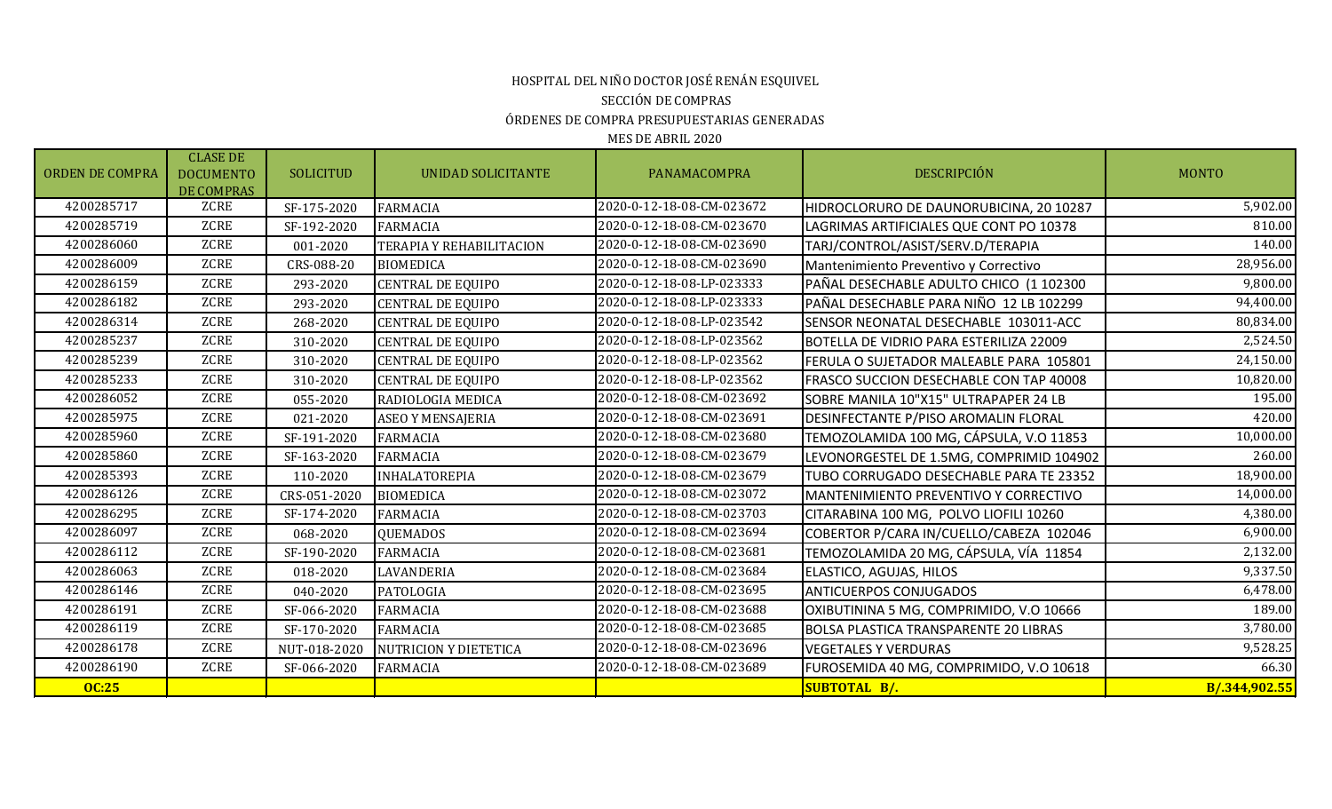## ÓRDENES DE COMPRA PRESUPUESTARIAS GENERADAS HOSPITAL DEL NIÑO DOCTOR JOSÉ RENÁN ESQUIVEL SECCIÓN DE COMPRAS

| <b>ORDEN DE COMPRA</b> | <b>CLASE DE</b><br><b>DOCUMENTO</b><br>DE COMPRAS | <b>SOLICITUD</b> | UNIDAD SOLICITANTE           | PANAMACOMPRA              | <b>DESCRIPCIÓN</b>                           | <b>MONTO</b>  |
|------------------------|---------------------------------------------------|------------------|------------------------------|---------------------------|----------------------------------------------|---------------|
| 4200285717             | ZCRE                                              | SF-175-2020      | <b>FARMACIA</b>              | 2020-0-12-18-08-CM-023672 | HIDROCLORURO DE DAUNORUBICINA, 20 10287      | 5,902.00      |
| 4200285719             | <b>ZCRE</b>                                       | SF-192-2020      | <b>FARMACIA</b>              | 2020-0-12-18-08-CM-023670 | LAGRIMAS ARTIFICIALES QUE CONT PO 10378      | 810.00        |
| 4200286060             | ZCRE                                              | 001-2020         | TERAPIA Y REHABILITACION     | 2020-0-12-18-08-CM-023690 | TARJ/CONTROL/ASIST/SERV.D/TERAPIA            | 140.00        |
| 4200286009             | <b>ZCRE</b>                                       | CRS-088-20       | <b>BIOMEDICA</b>             | 2020-0-12-18-08-CM-023690 | Mantenimiento Preventivo y Correctivo        | 28,956.00     |
| 4200286159             | <b>ZCRE</b>                                       | 293-2020         | <b>CENTRAL DE EQUIPO</b>     | 2020-0-12-18-08-LP-023333 | PAÑAL DESECHABLE ADULTO CHICO (1 102300      | 9,800.00      |
| 4200286182             | <b>ZCRE</b>                                       | 293-2020         | <b>CENTRAL DE EQUIPO</b>     | 2020-0-12-18-08-LP-023333 | PAÑAL DESECHABLE PARA NIÑO 12 LB 102299      | 94,400.00     |
| 4200286314             | <b>ZCRE</b>                                       | 268-2020         | <b>CENTRAL DE EQUIPO</b>     | 2020-0-12-18-08-LP-023542 | SENSOR NEONATAL DESECHABLE 103011-ACC        | 80,834.00     |
| 4200285237             | <b>ZCRE</b>                                       | 310-2020         | <b>CENTRAL DE EQUIPO</b>     | 2020-0-12-18-08-LP-023562 | BOTELLA DE VIDRIO PARA ESTERILIZA 22009      | 2,524.50      |
| 4200285239             | ZCRE                                              | 310-2020         | <b>CENTRAL DE EQUIPO</b>     | 2020-0-12-18-08-LP-023562 | FERULA O SUJETADOR MALEABLE PARA 105801      | 24,150.00     |
| 4200285233             | <b>ZCRE</b>                                       | 310-2020         | <b>CENTRAL DE EQUIPO</b>     | 2020-0-12-18-08-LP-023562 | FRASCO SUCCION DESECHABLE CON TAP 40008      | 10,820.00     |
| 4200286052             | <b>ZCRE</b>                                       | 055-2020         | RADIOLOGIA MEDICA            | 2020-0-12-18-08-CM-023692 | SOBRE MANILA 10"X15" ULTRAPAPER 24 LB        | 195.00        |
| 4200285975             | <b>ZCRE</b>                                       | 021-2020         | ASEO Y MENSAJERIA            | 2020-0-12-18-08-CM-023691 | DESINFECTANTE P/PISO AROMALIN FLORAL         | 420.00        |
| 4200285960             | <b>ZCRE</b>                                       | SF-191-2020      | <b>FARMACIA</b>              | 2020-0-12-18-08-CM-023680 | TEMOZOLAMIDA 100 MG, CÁPSULA, V.O 11853      | 10,000.00     |
| 4200285860             | <b>ZCRE</b>                                       | SF-163-2020      | <b>FARMACIA</b>              | 2020-0-12-18-08-CM-023679 | LEVONORGESTEL DE 1.5MG, COMPRIMID 104902     | 260.00        |
| 4200285393             | ZCRE                                              | 110-2020         | <b>INHALATOREPIA</b>         | 2020-0-12-18-08-CM-023679 | TUBO CORRUGADO DESECHABLE PARA TE 23352      | 18,900.00     |
| 4200286126             | <b>ZCRE</b>                                       | CRS-051-2020     | <b>BIOMEDICA</b>             | 2020-0-12-18-08-CM-023072 | MANTENIMIENTO PREVENTIVO Y CORRECTIVO        | 14,000.00     |
| 4200286295             | <b>ZCRE</b>                                       | SF-174-2020      | <b>FARMACIA</b>              | 2020-0-12-18-08-CM-023703 | CITARABINA 100 MG, POLVO LIOFILI 10260       | 4,380.00      |
| 4200286097             | <b>ZCRE</b>                                       | 068-2020         | <b>QUEMADOS</b>              | 2020-0-12-18-08-CM-023694 | COBERTOR P/CARA IN/CUELLO/CABEZA 102046      | 6,900.00      |
| 4200286112             | <b>ZCRE</b>                                       | SF-190-2020      | <b>FARMACIA</b>              | 2020-0-12-18-08-CM-023681 | TEMOZOLAMIDA 20 MG, CÁPSULA, VÍA 11854       | 2,132.00      |
| 4200286063             | ZCRE                                              | 018-2020         | LAVANDERIA                   | 2020-0-12-18-08-CM-023684 | ELASTICO, AGUJAS, HILOS                      | 9,337.50      |
| 4200286146             | <b>ZCRE</b>                                       | 040-2020         | <b>PATOLOGIA</b>             | 2020-0-12-18-08-CM-023695 | <b>ANTICUERPOS CONJUGADOS</b>                | 6,478.00      |
| 4200286191             | <b>ZCRE</b>                                       | SF-066-2020      | <b>FARMACIA</b>              | 2020-0-12-18-08-CM-023688 | OXIBUTININA 5 MG, COMPRIMIDO, V.O 10666      | 189.00        |
| 4200286119             | <b>ZCRE</b>                                       | SF-170-2020      | <b>FARMACIA</b>              | 2020-0-12-18-08-CM-023685 | <b>BOLSA PLASTICA TRANSPARENTE 20 LIBRAS</b> | 3,780.00      |
| 4200286178             | ZCRE                                              | NUT-018-2020     | <b>NUTRICION Y DIETETICA</b> | 2020-0-12-18-08-CM-023696 | <b>VEGETALES Y VERDURAS</b>                  | 9,528.25      |
| 4200286190             | <b>ZCRE</b>                                       | SF-066-2020      | <b>FARMACIA</b>              | 2020-0-12-18-08-CM-023689 | FUROSEMIDA 40 MG, COMPRIMIDO, V.O 10618      | 66.30         |
| <b>OC:25</b>           |                                                   |                  |                              |                           | SUBTOTAL B/.                                 | B/.344,902.55 |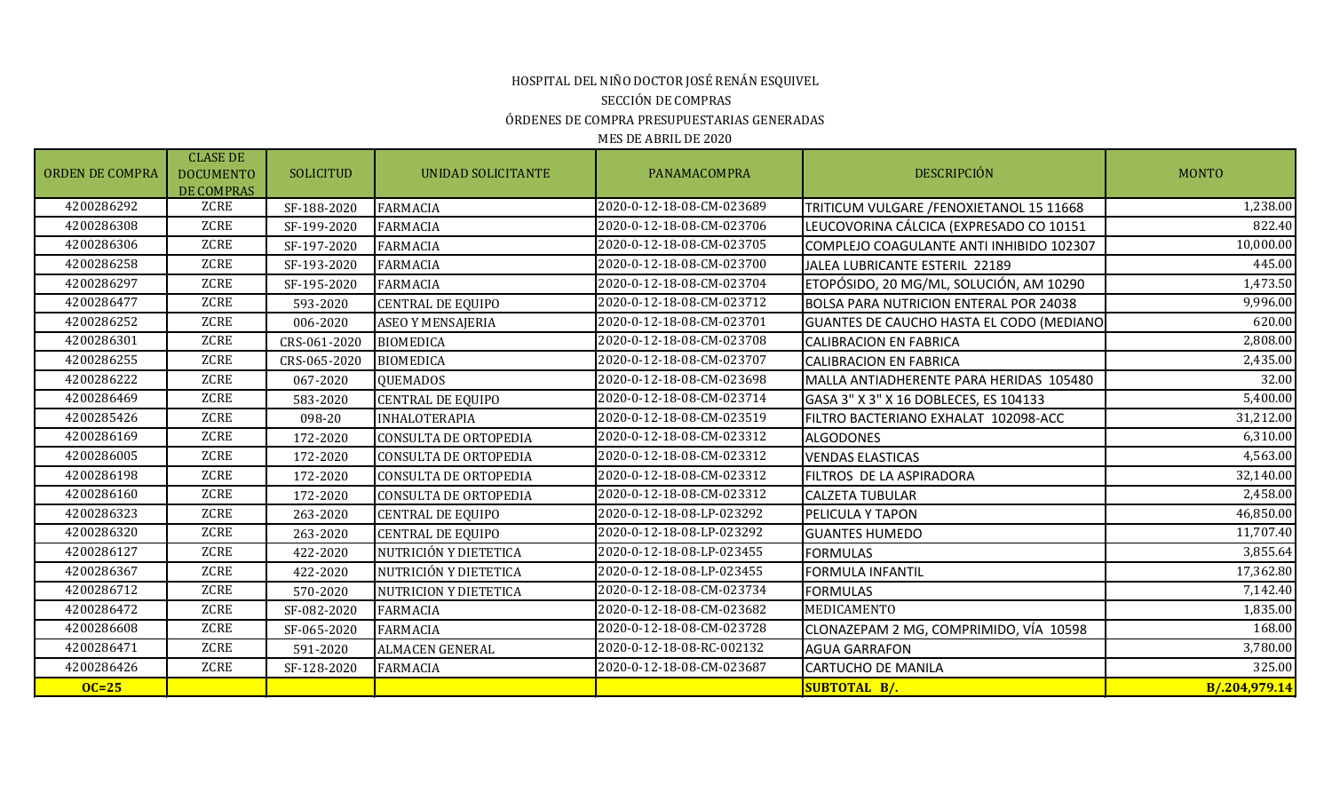#### HOSPITAL DEL NIÑO DOCTOR JOSÉ RENÁN ESQUIVEL SECCIÓN DE COMPRAS ÓRDENES DE COMPRA PRESUPUESTARIAS GENERADAS MES DE ABRIL DE 2020

ORDEN DE COMPRA CLASE DE DOCUMENTO DE COMPRAS SOLICITUD | UNIDAD-SOLICITANTE | PANAMACOMPRA | DESCRIPCIÓN | MONTO  $\begin{array}{c|c|c|c|c|c|c|c} \hline &\multicolumn{1}{c|}{\text{ZCRE}} & \multicolumn{1}{c|}{SF-188-2020} & \multicolumn{1}{c|}{\text{FARMACIA}} & \multicolumn{1}{c|}{\text{A2020-0-12-18-08-CM-023689}} & \multicolumn{1}{c|}{\text{TRITICUM VULGARE/FENOXIETANOL 15 11668}} & \multicolumn{1}{c|}{\text{A200286308}} & \multicolumn{1}{c|}{\text{A200286308}} & \multicolumn{1}{$ 42020-0-12-18-08-CM-023706 LEUCOVORINA CÁLCICA (EXPRESADO CO 10151 4200286306 ZCRE SF-197-2020 FARMACIA 2020-0-12-18-08-CM-023705 COMPLEJO COAGULANTE ANTI INHIBIDO 102307 10,000.00 4200286258 ZCRE SF-193-2020 FARMACIA 2020-0-12-18-08-CM-023700 JALEA LUBRICANTE ESTERIL 22189 445.00 4200286297 | ZCRE | SF-195-2020 FARMACIA | 2020-0-12-18-08-CM-023704 | ETOPÓSIDO, 20 MG/ML, SOLUCIÓN, AM 10290 4200286477 | ZCRE | 593-2020 CENTRAL DE EQUIPO | 2020-0-12-18-08-CM-023712 |BOLSA PARA NUTRICION ENTERAL POR 24038 | 2030-0-0-12-18-08-CM-023712 | BOLSA PARA NUTRICION ENTERAL POR 24038 4200286252 | ZCRE | 006-2020 |ASEO Y MENSAJERIA | 2020-0-12-18-08-CM-023701 | GUANTES DE CAUCHO HASTA EL CODO (MEDIANO 620.00 4200286301 | ZCRE | CRS-061-2020 |BIOMEDICA | 2020-0-12-18-08-CM-023708 | CALIBRACION EN FABRICA | Z,808.00 4200286255 ZCRE CRS-065-2020 BIOMEDICA 2020-0-12-18-08-CM-023707 CALIBRACION EN FABRICA 2,435.00 4200286222 | ZCRE | 067-2020 QUEMADOS | 2020-0-12-18-08-CM-023698 | MALLA ANTIADHERENTE PARA HERIDAS 105480 | ZCRE 4200286469 ZCRE 583-2020 CENTRAL DE EQUIPO 2020-0-12-18-08-CM-023714 GASA 3" X 3" X 16 DOBLECES, ES 104133 5,400.00 4200285426 ZCRE 098-20 INHALOTERAPIA 2020-0-12-18-08-CM-023519 FILTRO BACTERIANO EXHALAT 102098-ACC 31,212.00 4200286169 ZCRE 172-2020 CONSULTA DE ORTOPEDIA 2020-0-12-18-08-CM-023312 ALGODONES 6,310.00 4200286005 ZCRE 172-2020 CONSULTA DE ORTOPEDIA 2020-0-12-18-08-CM-023312 VENDAS ELASTICAS 4,563.00 4200286198 | ZCRE | 172-2020 CONSULTA DE ORTOPEDIA | 2020-0-12-18-08-CM-023312 | FILTROS DE LA ASPIRADORA | 32,140.00 4200286160 ZCRE 172-2020 CONSULTA DE ORTOPEDIA 2020-0-12-18-08-CM-023312 CALZETA TUBULAR 2,458.00 4200286323 CCRE 263-2020 CENTRAL DE EQUIPO 2020-0-12-18-08-LP-023292 PELICULA Y TAPON 46,850.00 4200286320 ZCRE | 263-2020 |CENTRAL DE EQUIPO | 2020-0-12-18-08-LP-023292 |GUANTES HUMEDO | 2020-0 4200286127 | ZCRE | 422-2020 |NUTRICIÓN Y DIETETICA | 2020-0-12-18-08-LP-023455 |FORMULAS | 3,855.64 4200286367 | ZCRE | 422-2020 |NUTRICIÓN Y DIETETICA | 2020-0-12-18-08-LP-023455 |FORMULA INFANTIL 17,362.90 | 17,362.80 4200286712 | ZCRE | 570-2020 |NUTRICION Y DIETETICA | 2020-0-12-18-08-CM-023734 |FORMULAS | 7,142.40 4200286472 ZCRE SF-082-2020 FARMACIA 2020-0-12-18-08-CM-023682 MEDICAMENTO 1,835.00 4200286608 ZCRE SF-065-2020 FARMACIA 2020-0-12-18-08-CM-023728 CLONAZEPAM 2 MG, COMPRIMIDO, VÍA 10598 168.00 4200286471 ZCRE 591-2020 ALMACEN GENERAL 2020-0-12-18-08-RC-002132 AGUA GARRAFON 3,780.00 4200286426 | ZCRE | SF-128-2020 |FARMACIA | 2020-0-12-18-08-CM-023687 | CARTUCHO DE MANILA | 325.00 **OC=25 SUBTOTAL B/. B/.204,979.14**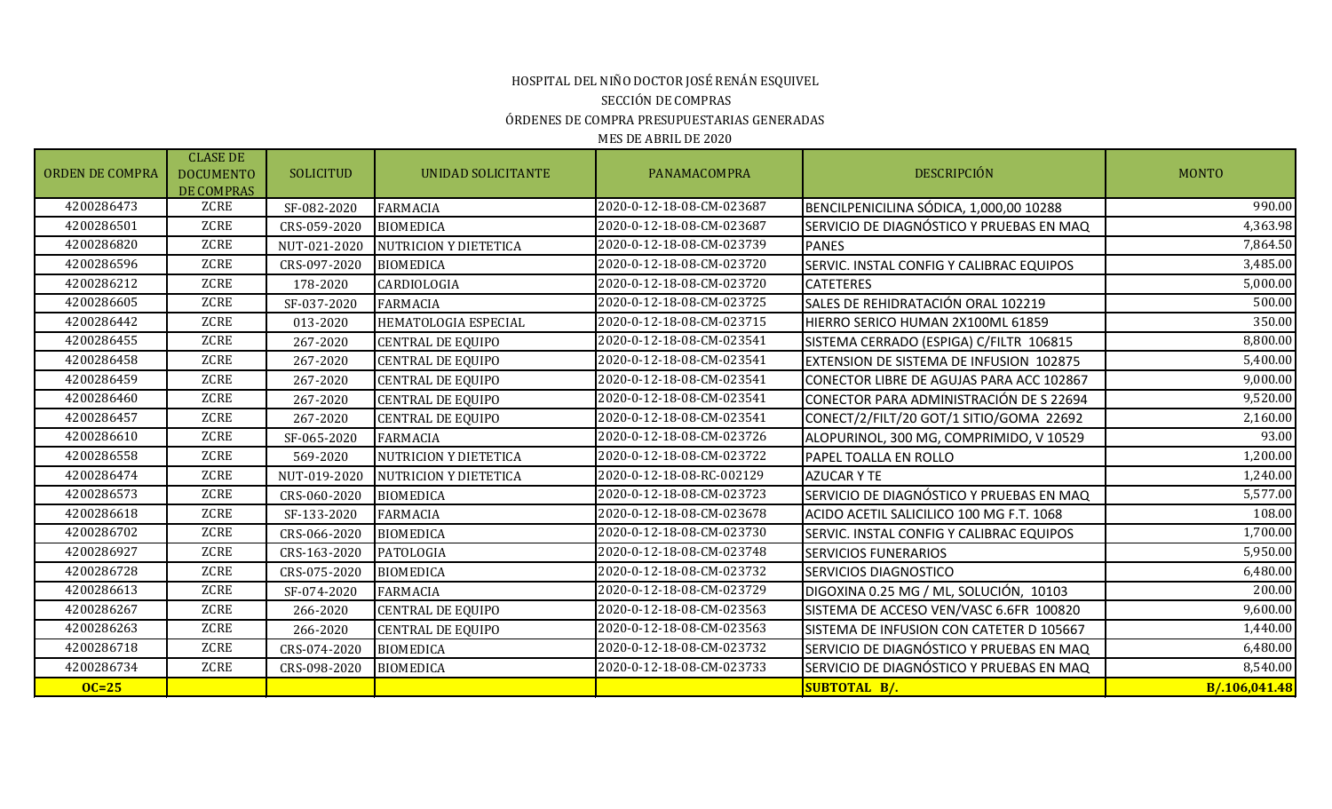# HOSPITAL DEL NIÑO DOCTOR JOSÉ RENÁN ESQUIVEL SECCIÓN DE COMPRAS ÓRDENES DE COMPRA PRESUPUESTARIAS GENERADAS

| <b>ORDEN DE COMPRA</b> | <b>CLASE DE</b><br><b>DOCUMENTO</b><br>DE COMPRAS | <b>SOLICITUD</b> | UNIDAD SOLICITANTE           | PANAMACOMPRA              | <b>DESCRIPCIÓN</b>                              | <b>MONTO</b>  |
|------------------------|---------------------------------------------------|------------------|------------------------------|---------------------------|-------------------------------------------------|---------------|
| 4200286473             | ZCRE                                              | SF-082-2020      | <b>FARMACIA</b>              | 2020-0-12-18-08-CM-023687 | BENCILPENICILINA SÓDICA, 1,000,00 10288         | 990.00        |
| 4200286501             | ZCRE                                              | CRS-059-2020     | <b>BIOMEDICA</b>             | 2020-0-12-18-08-CM-023687 | SERVICIO DE DIAGNÓSTICO Y PRUEBAS EN MAQ        | 4,363.98      |
| 4200286820             | <b>ZCRE</b>                                       | NUT-021-2020     | <b>NUTRICION Y DIETETICA</b> | 2020-0-12-18-08-CM-023739 | <b>PANES</b>                                    | 7,864.50      |
| 4200286596             | <b>ZCRE</b>                                       | CRS-097-2020     | <b>BIOMEDICA</b>             | 2020-0-12-18-08-CM-023720 | <b>SERVIC. INSTAL CONFIG Y CALIBRAC EQUIPOS</b> | 3,485.00      |
| 4200286212             | <b>ZCRE</b>                                       | 178-2020         | CARDIOLOGIA                  | 2020-0-12-18-08-CM-023720 | <b>CATETERES</b>                                | 5,000.00      |
| 4200286605             | <b>ZCRE</b>                                       | SF-037-2020      | <b>FARMACIA</b>              | 2020-0-12-18-08-CM-023725 | SALES DE REHIDRATACIÓN ORAL 102219              | 500.00        |
| 4200286442             | <b>ZCRE</b>                                       | 013-2020         | HEMATOLOGIA ESPECIAL         | 2020-0-12-18-08-CM-023715 | HIERRO SERICO HUMAN 2X100ML 61859               | 350.00        |
| 4200286455             | <b>ZCRE</b>                                       | 267-2020         | <b>CENTRAL DE EQUIPO</b>     | 2020-0-12-18-08-CM-023541 | SISTEMA CERRADO (ESPIGA) C/FILTR 106815         | 8,800.00      |
| 4200286458             | <b>ZCRE</b>                                       | 267-2020         | <b>CENTRAL DE EQUIPO</b>     | 2020-0-12-18-08-CM-023541 | EXTENSION DE SISTEMA DE INFUSION 102875         | 5,400.00      |
| 4200286459             | <b>ZCRE</b>                                       | 267-2020         | <b>CENTRAL DE EQUIPO</b>     | 2020-0-12-18-08-CM-023541 | CONECTOR LIBRE DE AGUJAS PARA ACC 102867        | 9,000.00      |
| 4200286460             | <b>ZCRE</b>                                       | 267-2020         | <b>CENTRAL DE EQUIPO</b>     | 2020-0-12-18-08-CM-023541 | CONECTOR PARA ADMINISTRACIÓN DE S 22694         | 9,520.00      |
| 4200286457             | <b>ZCRE</b>                                       | 267-2020         | <b>CENTRAL DE EQUIPO</b>     | 2020-0-12-18-08-CM-023541 | CONECT/2/FILT/20 GOT/1 SITIO/GOMA 22692         | 2,160.00      |
| 4200286610             | <b>ZCRE</b>                                       | SF-065-2020      | <b>FARMACIA</b>              | 2020-0-12-18-08-CM-023726 | ALOPURINOL, 300 MG, COMPRIMIDO, V 10529         | 93.00         |
| 4200286558             | <b>ZCRE</b>                                       | 569-2020         | <b>NUTRICION Y DIETETICA</b> | 2020-0-12-18-08-CM-023722 | <b>PAPEL TOALLA EN ROLLO</b>                    | 1,200.00      |
| 4200286474             | <b>ZCRE</b>                                       | NUT-019-2020     | <b>NUTRICION Y DIETETICA</b> | 2020-0-12-18-08-RC-002129 | <b>AZUCAR Y TE</b>                              | 1,240.00      |
| 4200286573             | <b>ZCRE</b>                                       | CRS-060-2020     | <b>BIOMEDICA</b>             | 2020-0-12-18-08-CM-023723 | SERVICIO DE DIAGNÓSTICO Y PRUEBAS EN MAQ        | 5,577.00      |
| 4200286618             | <b>ZCRE</b>                                       | SF-133-2020      | <b>FARMACIA</b>              | 2020-0-12-18-08-CM-023678 | ACIDO ACETIL SALICILICO 100 MG F.T. 1068        | 108.00        |
| 4200286702             | <b>ZCRE</b>                                       | CRS-066-2020     | <b>BIOMEDICA</b>             | 2020-0-12-18-08-CM-023730 | SERVIC. INSTAL CONFIG Y CALIBRAC EQUIPOS        | 1,700.00      |
| 4200286927             | <b>ZCRE</b>                                       | CRS-163-2020     | PATOLOGIA                    | 2020-0-12-18-08-CM-023748 | <b>SERVICIOS FUNERARIOS</b>                     | 5,950.00      |
| 4200286728             | <b>ZCRE</b>                                       | CRS-075-2020     | <b>BIOMEDICA</b>             | 2020-0-12-18-08-CM-023732 | <b>SERVICIOS DIAGNOSTICO</b>                    | 6,480.00      |
| 4200286613             | ZCRE                                              | SF-074-2020      | <b>FARMACIA</b>              | 2020-0-12-18-08-CM-023729 | DIGOXINA 0.25 MG / ML, SOLUCIÓN, 10103          | 200.00        |
| 4200286267             | <b>ZCRE</b>                                       | 266-2020         | <b>CENTRAL DE EQUIPO</b>     | 2020-0-12-18-08-CM-023563 | SISTEMA DE ACCESO VEN/VASC 6.6FR 100820         | 9,600.00      |
| 4200286263             | <b>ZCRE</b>                                       | 266-2020         | <b>CENTRAL DE EQUIPO</b>     | 2020-0-12-18-08-CM-023563 | SISTEMA DE INFUSION CON CATETER D 105667        | 1,440.00      |
| 4200286718             | <b>ZCRE</b>                                       | CRS-074-2020     | <b>BIOMEDICA</b>             | 2020-0-12-18-08-CM-023732 | SERVICIO DE DIAGNÓSTICO Y PRUEBAS EN MAQ        | 6,480.00      |
| 4200286734             | ZCRE                                              | CRS-098-2020     | <b>BIOMEDICA</b>             | 2020-0-12-18-08-CM-023733 | SERVICIO DE DIAGNÓSTICO Y PRUEBAS EN MAQ        | 8,540.00      |
| $OC=25$                |                                                   |                  |                              |                           | SUBTOTAL B/.                                    | B/.106,041.48 |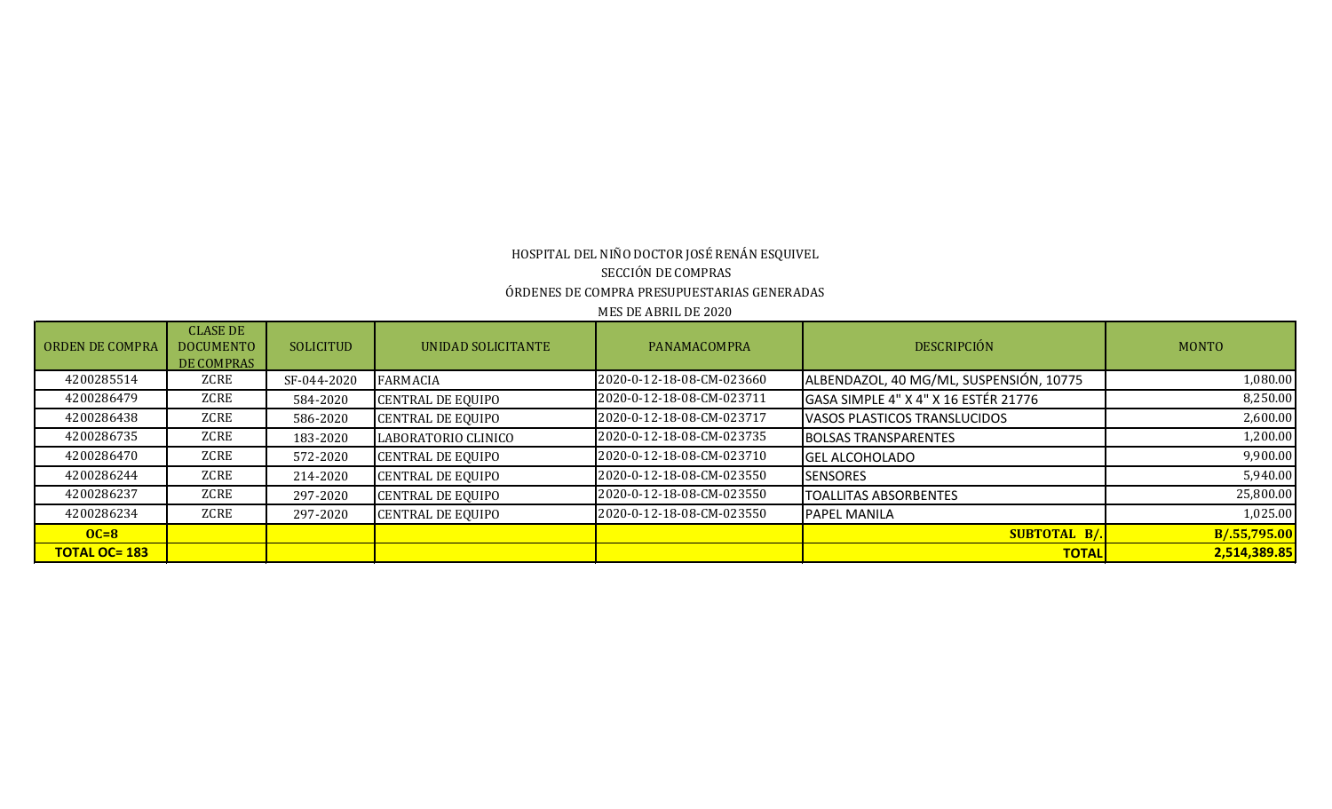# MES DE ABRIL DE 2020 HOSPITAL DEL NIÑO DOCTOR JOSÉ RENÁN ESQUIVEL SECCIÓN DE COMPRAS ÓRDENES DE COMPRA PRESUPUESTARIAS GENERADAS

| <b>ORDEN DE COMPRA</b> | <b>CLASE DE</b><br><b>DOCUMENTO</b><br>DE COMPRAS | <b>SOLICITUD</b> | <b>UNIDAD SOLICITANTE</b> | PANAMACOMPRA              | <b>DESCRIPCIÓN</b>                      | <b>MONTO</b> |
|------------------------|---------------------------------------------------|------------------|---------------------------|---------------------------|-----------------------------------------|--------------|
| 4200285514             | ZCRE                                              | SF-044-2020      | FARMACIA                  | 2020-0-12-18-08-CM-023660 | ALBENDAZOL, 40 MG/ML, SUSPENSIÓN, 10775 | 1,080.00     |
| 4200286479             | ZCRE                                              | 584-2020         | <b>CENTRAL DE EQUIPO</b>  | 2020-0-12-18-08-CM-023711 | GASA SIMPLE 4" X 4" X 16 ESTÉR 21776    | 8,250.00     |
| 4200286438             | ZCRE                                              | 586-2020         | <b>CENTRAL DE EQUIPO</b>  | 2020-0-12-18-08-CM-023717 | VASOS PLASTICOS TRANSLUCIDOS            | 2,600.00     |
| 4200286735             | ZCRE                                              | 183-2020         | LABORATORIO CLINICO       | 2020-0-12-18-08-CM-023735 | <b>BOLSAS TRANSPARENTES</b>             | 1,200.00     |
| 4200286470             | ZCRE                                              | 572-2020         | <b>CENTRAL DE EQUIPO</b>  | 2020-0-12-18-08-CM-023710 | <b>GEL ALCOHOLADO</b>                   | 9,900.00     |
| 4200286244             | ZCRE                                              | 214-2020         | <b>CENTRAL DE EQUIPO</b>  | 2020-0-12-18-08-CM-023550 | <b>SENSORES</b>                         | 5,940.00     |
| 4200286237             | ZCRE                                              | 297-2020         | <b>CENTRAL DE EQUIPO</b>  | 2020-0-12-18-08-CM-023550 | <b>TOALLITAS ABSORBENTES</b>            | 25,800.00    |
| 4200286234             | ZCRE                                              | 297-2020         | <b>CENTRAL DE EQUIPO</b>  | 2020-0-12-18-08-CM-023550 | <b>PAPEL MANILA</b>                     | 1,025.00     |
| $OC=8$                 |                                                   |                  |                           |                           | <b>SUBTOTAL B/.</b>                     | B/.55,795.00 |
| <b>TOTAL OC= 183</b>   |                                                   |                  |                           |                           | <b>TOTAL</b>                            | 2,514,389.85 |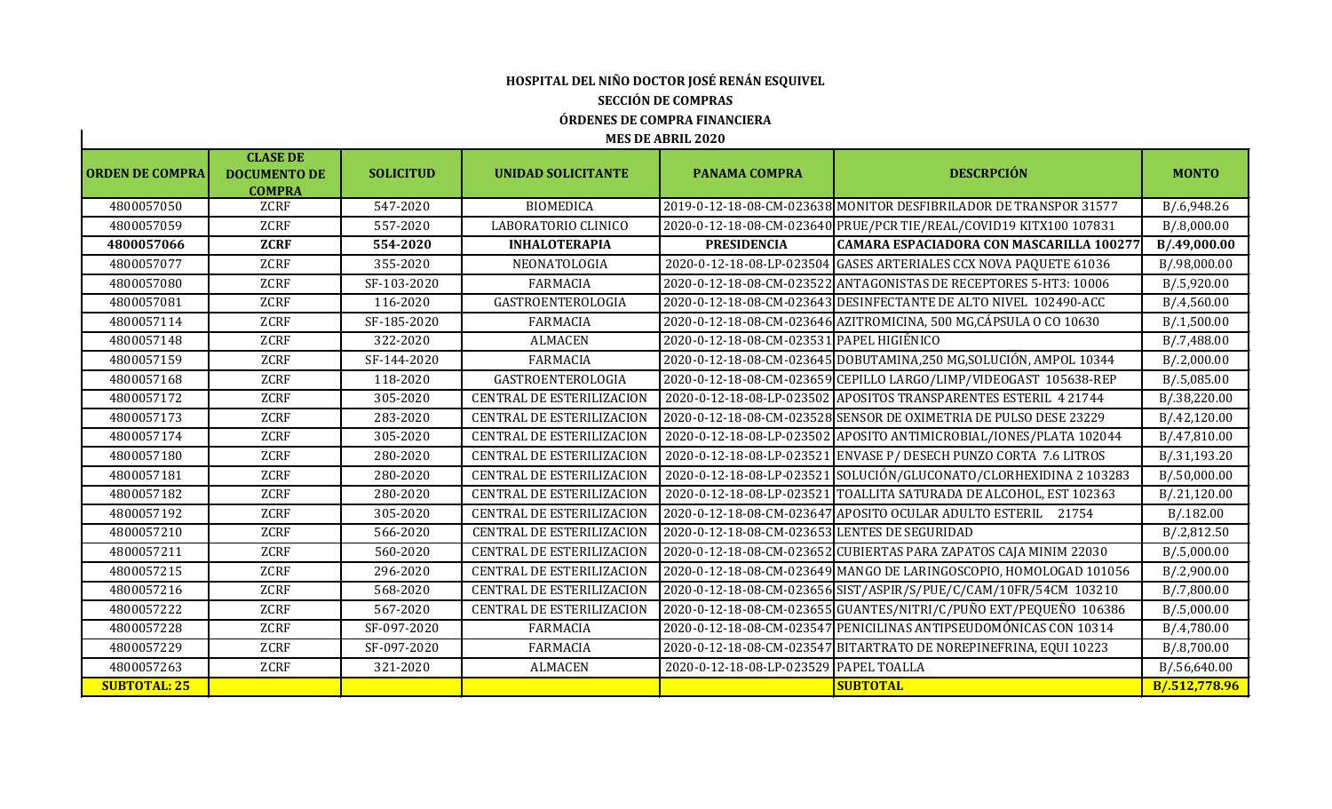## **HOSPITAL DEL NIÑO DOCTOR JOSÉ RENÁN ESQUIVEL SECCIÓN DE COMPRAS ÓRDENES DE COMPRA FINANCIERA**

| <b>ORDEN DE COMPRA</b> | <b>CLASE DE</b><br><b>DOCUMENTO DE</b> | <b>SOLICITUD</b> | UNIDAD SOLICITANTE               | <b>PANAMA COMPRA</b>                          | <b>DESCRPCIÓN</b>                                                   | <b>MONTO</b>  |
|------------------------|----------------------------------------|------------------|----------------------------------|-----------------------------------------------|---------------------------------------------------------------------|---------------|
| 4800057050             | <b>COMPRA</b><br><b>ZCRF</b>           | 547-2020         | <b>BIOMEDICA</b>                 |                                               | 2019-0-12-18-08-CM-023638 MONITOR DESFIBRILADOR DE TRANSPOR 31577   | B/.6,948.26   |
| 4800057059             | <b>ZCRF</b>                            | 557-2020         | LABORATORIO CLINICO              |                                               | 2020-0-12-18-08-CM-023640 PRUE/PCR TIE/REAL/COVID19 KITX100 107831  | B/.8,000.00   |
| 4800057066             | <b>ZCRF</b>                            | 554-2020         | <b>INHALOTERAPIA</b>             | <b>PRESIDENCIA</b>                            | CAMARA ESPACIADORA CON MASCARILLA 100277                            | B/.49,000.00  |
| 4800057077             | <b>ZCRF</b>                            | 355-2020         | NEONATOLOGIA                     |                                               | 2020-0-12-18-08-LP-023504 GASES ARTERIALES CCX NOVA PAQUETE 61036   | B/.98,000.00  |
|                        |                                        |                  |                                  |                                               |                                                                     |               |
| 4800057080             | <b>ZCRF</b>                            | SF-103-2020      | <b>FARMACIA</b>                  |                                               | 2020-0-12-18-08-CM-023522 ANTAGONISTAS DE RECEPTORES 5-HT3: 10006   | B/.5,920.00   |
| 4800057081             | <b>ZCRF</b>                            | 116-2020         | GASTROENTEROLOGIA                |                                               | 2020-0-12-18-08-CM-023643 DESINFECTANTE DE ALTO NIVEL 102490-ACC    | B/.4,560.00   |
| 4800057114             | ZCRF                                   | SF-185-2020      | <b>FARMACIA</b>                  |                                               | 2020-0-12-18-08-CM-023646 AZITROMICINA, 500 MG, CÁPSULA O CO 10630  | B/0.1,500.00  |
| 4800057148             | <b>ZCRF</b>                            | 322-2020         | <b>ALMACEN</b>                   | 2020-0-12-18-08-CM-023531 PAPEL HIGIÉNICO     |                                                                     | B/0.7,488.00  |
| 4800057159             | <b>ZCRF</b>                            | SF-144-2020      | <b>FARMACIA</b>                  |                                               | 2020-0-12-18-08-CM-023645 DOBUTAMINA, 250 MG, SOLUCIÓN, AMPOL 10344 | B/2,000.00    |
| 4800057168             | <b>ZCRF</b>                            | 118-2020         | GASTROENTEROLOGIA                |                                               | 2020-0-12-18-08-CM-023659 CEPILLO LARGO/LIMP/VIDEOGAST 105638-REP   | B/0.5,085.00  |
| 4800057172             | <b>ZCRF</b>                            | 305-2020         | <b>CENTRAL DE ESTERILIZACION</b> |                                               | 2020-0-12-18-08-LP-023502 APOSITOS TRANSPARENTES ESTERIL 4 21744    | B/.38,220.00  |
| 4800057173             | <b>ZCRF</b>                            | 283-2020         | <b>CENTRAL DE ESTERILIZACION</b> |                                               | 2020-0-12-18-08-CM-023528 SENSOR DE OXIMETRIA DE PULSO DESE 23229   | B/.42,120.00  |
| 4800057174             | <b>ZCRF</b>                            | 305-2020         | <b>CENTRAL DE ESTERILIZACION</b> |                                               | 2020-0-12-18-08-LP-023502 APOSITO ANTIMICROBIAL/IONES/PLATA 102044  | B/.47,810.00  |
| 4800057180             | <b>ZCRF</b>                            | 280-2020         | <b>CENTRAL DE ESTERILIZACION</b> |                                               | 2020-0-12-18-08-LP-023521 ENVASE P/ DESECH PUNZO CORTA 7.6 LITROS   | B/.31,193.20  |
| 4800057181             | ZCRF                                   | 280-2020         | <b>CENTRAL DE ESTERILIZACION</b> |                                               | 2020-0-12-18-08-LP-023521 SOLUCIÓN/GLUCONATO/CLORHEXIDINA 2 103283  | B/.50,000.00  |
| 4800057182             | <b>ZCRF</b>                            | 280-2020         | <b>CENTRAL DE ESTERILIZACION</b> |                                               | 2020-0-12-18-08-LP-023521 TOALLITA SATURADA DE ALCOHOL, EST 102363  | B/.21,120.00  |
| 4800057192             | <b>ZCRF</b>                            | 305-2020         | <b>CENTRAL DE ESTERILIZACION</b> |                                               | 2020-0-12-18-08-CM-023647 APOSITO OCULAR ADULTO ESTERIL 21754       | B/0.182.00    |
| 4800057210             | <b>ZCRF</b>                            | 566-2020         | <b>CENTRAL DE ESTERILIZACION</b> | 2020-0-12-18-08-CM-023653 LENTES DE SEGURIDAD |                                                                     | B/.2,812.50   |
| 4800057211             | <b>ZCRF</b>                            | 560-2020         | <b>CENTRAL DE ESTERILIZACION</b> |                                               | 2020-0-12-18-08-CM-023652 CUBIERTAS PARA ZAPATOS CAJA MINIM 22030   | B/.5,000.00   |
| 4800057215             | <b>ZCRF</b>                            | 296-2020         | <b>CENTRAL DE ESTERILIZACION</b> |                                               | 2020-0-12-18-08-CM-023649 MANGO DE LARINGOSCOPIO, HOMOLOGAD 101056  | B/2,900.00    |
| 4800057216             | <b>ZCRF</b>                            | 568-2020         | <b>CENTRAL DE ESTERILIZACION</b> |                                               | 2020-0-12-18-08-CM-023656 SIST/ASPIR/S/PUE/C/CAM/10FR/54CM 103210   | B/.7,800.00   |
| 4800057222             | <b>ZCRF</b>                            | 567-2020         | <b>CENTRAL DE ESTERILIZACION</b> |                                               | 2020-0-12-18-08-CM-023655 GUANTES/NITRI/C/PUÑO EXT/PEQUEÑO 106386   | B/.5,000.00   |
| 4800057228             | <b>ZCRF</b>                            | SF-097-2020      | <b>FARMACIA</b>                  |                                               | 2020-0-12-18-08-CM-023547 PENICILINAS ANTIPSEUDOMÓNICAS CON 10314   | B/.4,780.00   |
| 4800057229             | <b>ZCRF</b>                            | SF-097-2020      | <b>FARMACIA</b>                  |                                               | 2020-0-12-18-08-CM-023547 BITARTRATO DE NOREPINEFRINA, EQUI 10223   | B/.8,700.00   |
| 4800057263             | <b>ZCRF</b>                            | 321-2020         | <b>ALMACEN</b>                   | 2020-0-12-18-08-LP-023529 PAPEL TOALLA        |                                                                     | B/.56,640.00  |
| <b>SUBTOTAL: 25</b>    |                                        |                  |                                  |                                               | <b>SUBTOTAL</b>                                                     | B/.512,778.96 |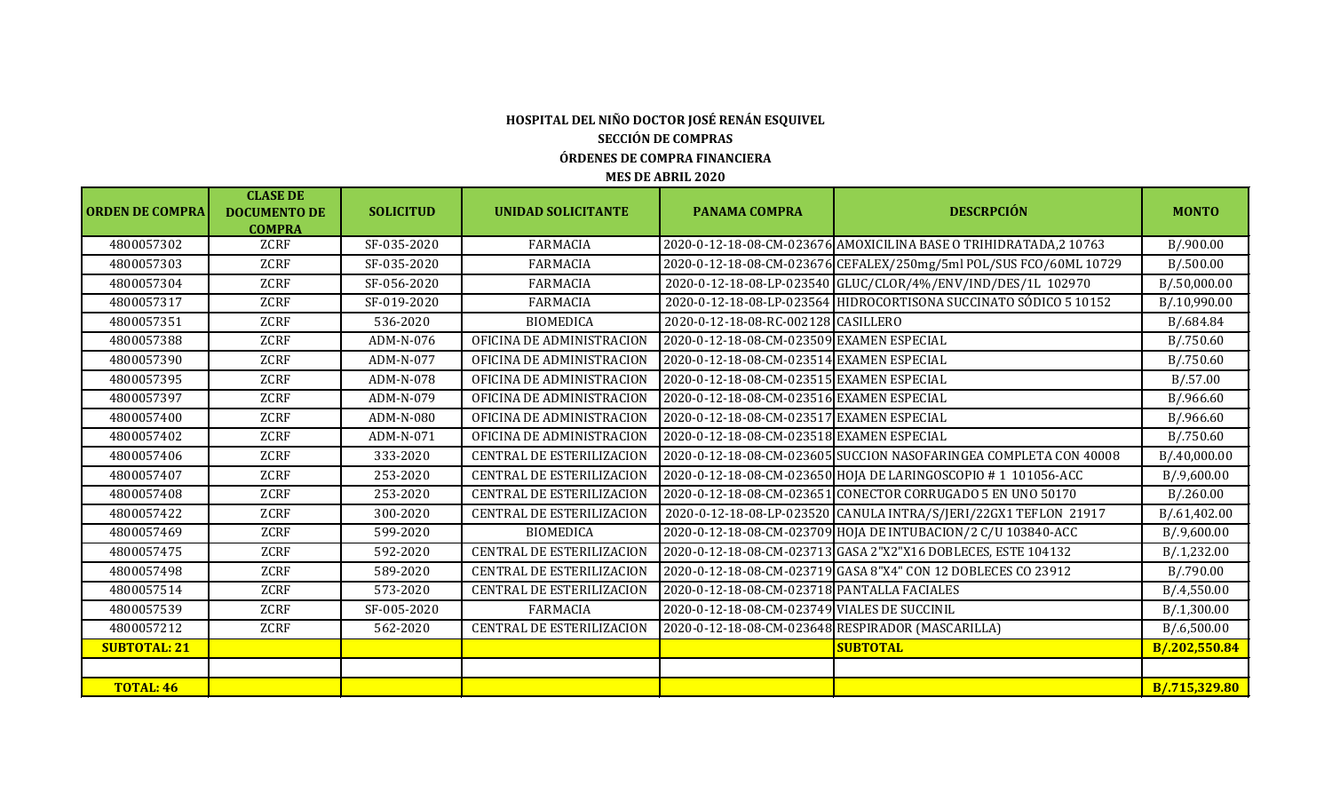#### **ÓRDENES DE COMPRA FINANCIERA MES DE ABRIL 2020 HOSPITAL DEL NIÑO DOCTOR JOSÉ RENÁN ESQUIVEL SECCIÓN DE COMPRAS**

#### **ORDEN DE COMPRA CLASE DE DOCUMENTO DE COMPRA SOLICITUD** | UNIDAD SOLICITANTE | PANAMA COMPRA | DESCRPCIÓN | MONTO 4800057302 ZCRF SF-035-2020 FARMACIA 2020-0-12-18-08-CM-023676 AMOXICILINA BASE O TRIHIDRATADA,2 10763 B/.900.00 4800057303 ZCRF SF-035-2020 FARMACIA 2020-0-12-18-08-CM-023676 CEFALEX/250mg/5ml POL/SUS FCO/60ML 10729 B/.500.00 4800057304 ZCRF SF-056-2020 FARMACIA 2020-0-12-18-08-LP-023540 GLUC/CLOR/4%/ENV/IND/DES/1L 102970 B/.50,000.00 4800057317 ZCRF SF-019-2020 FARMACIA 2020-0-12-18-08-LP-023564 HIDROCORTISONA SUCCINATO SÓDICO 5 10152 B/.10,990.00 4800057351 ZCRF 536-2020 BIOMEDICA 2020-0-12-18-08-RC-002128 CASILLERO B/.684.84 4800057388 ZCRF ADM-N-076 OFICINA DE ADMINISTRACION 2020-0-12-18-08-CM-023509 EXAMEN ESPECIAL B/.750.60 4800057390 | ZCRF | ADM-N-077 | OFICINA DE ADMINISTRACION | 2020-0-12-18-08-CM-023514 EXAMEN ESPECIAL | B/.750.60 4800057395 | ZCRF | ADM-N-078 | OFICINA DE ADMINISTRACION | 2020-0-12-18-08-CM-023515 EXAMEN ESPECIAL | B/.57.00 4800057397 | ZCRF | ADM-N-079 | OFICINA DE ADMINISTRACION |2020-0-12-18-08-CM-023516 EXAMEN ESPECIAL | B/.966.60 4800057400 | ZCRF | ADM-N-080 | OFICINA DE ADMINISTRACION | 2020-0-12-18-08-CM-023517 EXAMEN ESPECIAL | B/.966.60 4800057402 ZCRF ADM-N-071 OFICINA DE ADMINISTRACION 2020-0-12-18-08-CM-023518 EXAMEN ESPECIAL B/.750.60 4800057406 ZCRF 333-2020 CENTRAL DE ESTERILIZACION 2020-0-12-18-08-CM-023605 SUCCION NASOFARINGEA COMPLETA CON 40008 B/.40,000.00 4800057407 ZCRF 253-2020 CENTRAL DE ESTERILIZACION 2020-0-12-18-08-CM-023650 HOJA DE LARINGOSCOPIO # 1 101056-ACC B/.9,600.00 4800057408 ZCRF 253-2020 CENTRAL DE ESTERILIZACION 2020-0-12-18-08-CM-023651 CONECTOR CORRUGADO 5 EN UNO 50170 B/.260.00 4800057422 ZCRF 300-2020 CENTRAL DE ESTERILIZACION 2020-0-12-18-08-LP-023520 CANULA INTRA/S/JERI/22GX1 TEFLON 21917 B/.61,402.00 4800057469 | ZCRF | 599-2020 | BIOMEDICA | 2020-0-12-18-08-CM-023709 HOJA DE INTUBACION/2 C/U 103840-ACC | B/.9,600.00 4800057475 ZCRF 592-2020 CENTRAL DE ESTERILIZACION 2020-0-12-18-08-CM-023713 GASA 2"X2"X16 DOBLECES, ESTE 104132 B/.1,232.00 4800057498 ZCRF 589-2020 CENTRAL DE ESTERILIZACION 2020-0-12-18-08-CM-023719 GASA 8"X4" CON 12 DOBLECES CO 23912 B/.790.00 4800057514 ZCRF 573-2020 CENTRAL DE ESTERILIZACION 2020-0-12-18-08-CM-023718 PANTALLA FACIALES B/.4,550.00 4800057539 ZCRF SF-005-2020 FARMACIA 2020-0-12-18-08-CM-023749 VIALES DE SUCCINIL B/.1,300.00 4800057212 ZCRF 562-2020 CENTRAL DE ESTERILIZACION 2020-0-12-18-08-CM-023648 RESPIRADOR (MASCARILLA) B/.6,500.00 **SUBTOTAL: 21 SUBTOTAL B/.202,550.84 TOTAL: 46 B/.715,329.80**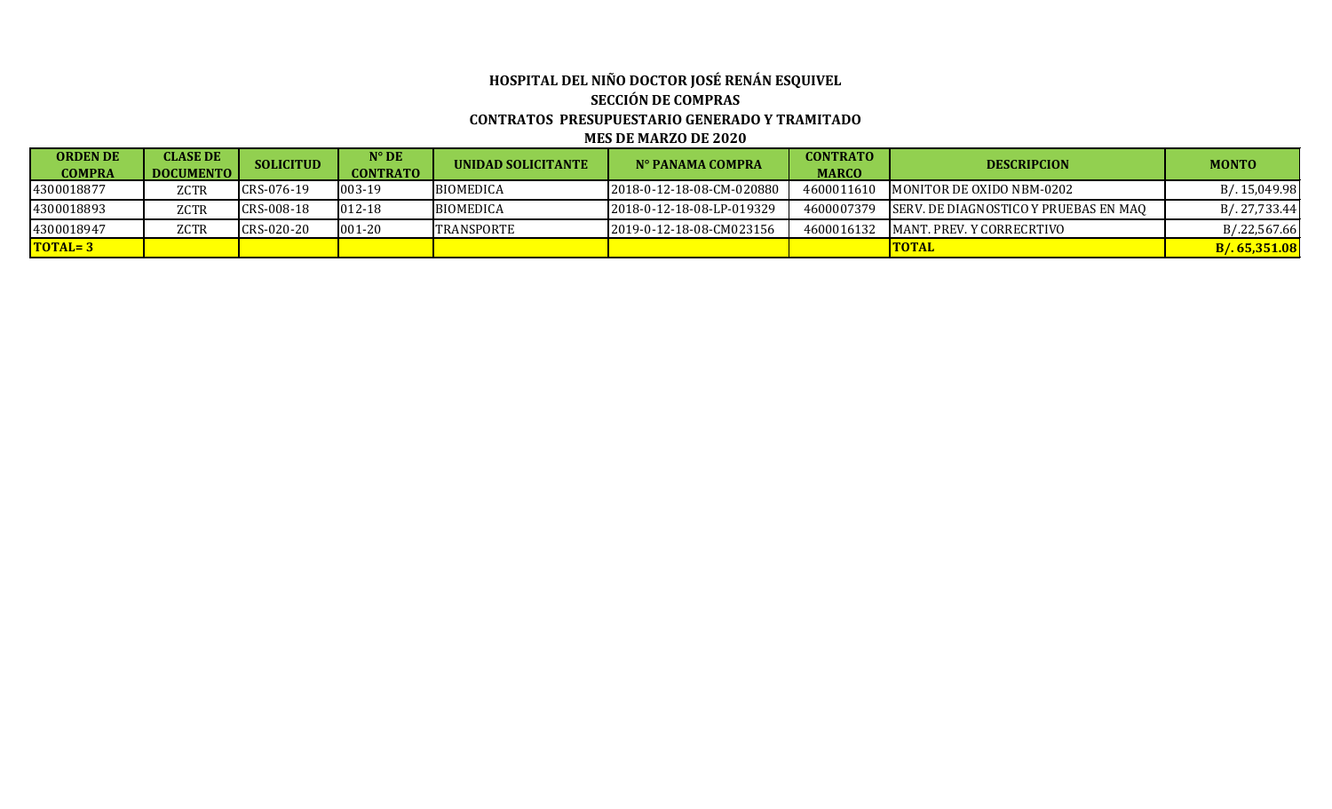#### **HOSPITAL DEL NIÑO DOCTOR JOSÉ RENÁN ESQUIVEL SECCIÓN DE COMPRAS CONTRATOS PRESUPUESTARIO GENERADO Y TRAMITADO MES DE MARZO DE 2020**

| <b>ORDEN DE</b>      | <b>CLASE DE</b>  | <b>SOLICITUD</b> | $N^{\circ}$ DE   | UNIDAD SOLICITANTE | N° PANAMA COMPRA          | <b>CONTRATO</b> | <b>DESCRIPCION</b>                     | <b>MONTO</b>  |
|----------------------|------------------|------------------|------------------|--------------------|---------------------------|-----------------|----------------------------------------|---------------|
| <b>COMPRA</b>        | <b>DOCUMENTO</b> |                  | <b>CONTRATO</b>  |                    |                           | <b>MARCO</b>    |                                        |               |
| 4300018877           | ZCTR             | CRS-076-19       | 1003-19          | <b>BIOMEDICA</b>   | 2018-0-12-18-08-CM-020880 | 4600011610      | MONITOR DE OXIDO NBM-0202              | B/. 15,049.98 |
| 4300018893           | <b>ZCTR</b>      | CRS-008-18       | $ 012-18\rangle$ | <b>BIOMEDICA</b>   | 2018-0-12-18-08-LP-019329 | 4600007379      | ISERV. DE DIAGNOSTICO Y PRUEBAS EN MAO | B/. 27,733.44 |
| 4300018947           | ZCTR             | CRS-020-20       | 1001-20          | <b>ITRANSPORTE</b> | 2019-0-12-18-08-CM023156  | 4600016132      | IMANT. PREV. Y CORRECRTIVO             | B/.22,567.66  |
| $\overline{TOTAL=3}$ |                  |                  |                  |                    |                           |                 | <b>ITOTAL</b>                          | B/.65,351.08  |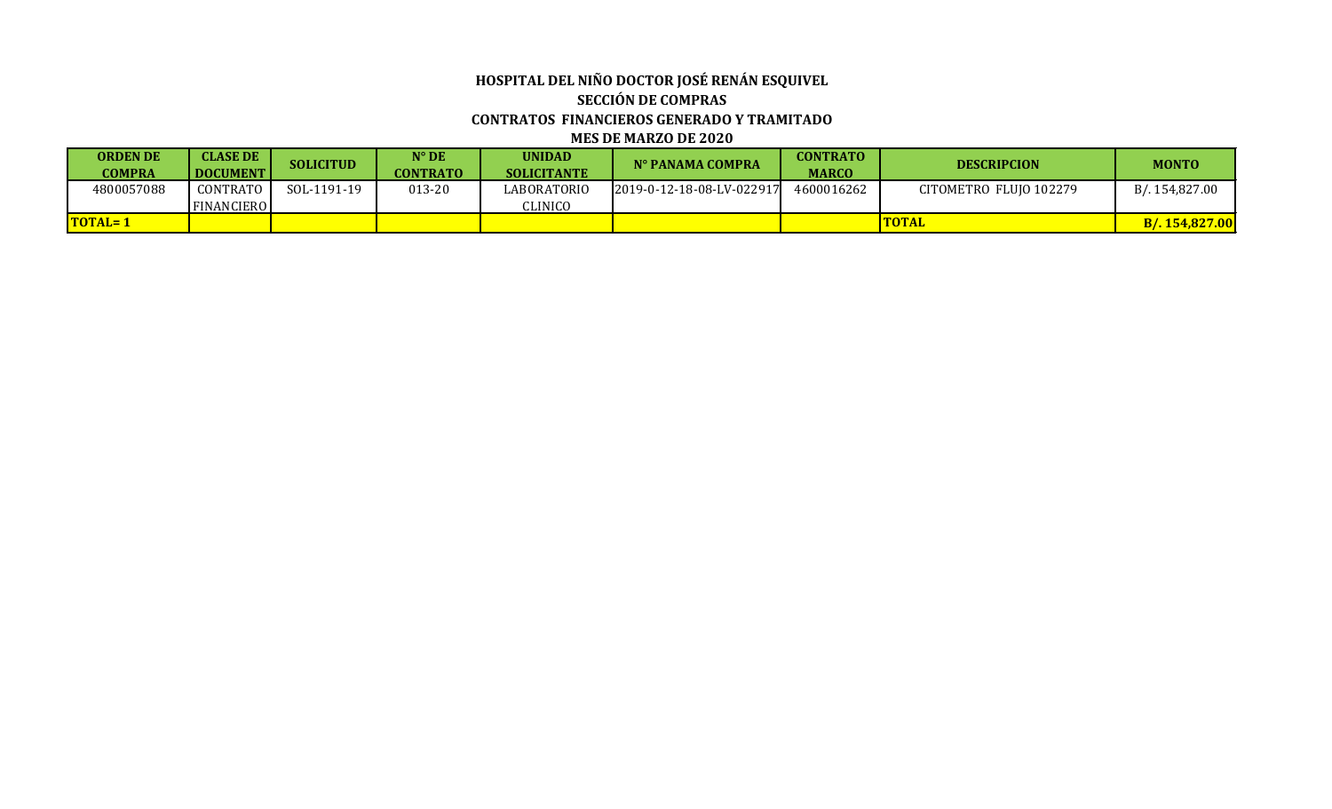#### **HOSPITAL DEL NIÑO DOCTOR JOSÉ RENÁN ESQUIVEL SECCIÓN DE COMPRAS CONTRATOS FINANCIEROS GENERADO Y TRAMITADO MES DE MARZO DE 2020**

| <b>ORDEN DE</b><br><b>COMPRA</b> | <b>CLASE DE</b><br><b>DOCUMENT</b> | <b>SOLICITUD</b> | $\mathbf{N}^{\mathsf{o}}\,\mathbf{D}\mathbf{E}$<br><b>CONTRATO</b> | <b>UNIDAD</b><br><b>SOLICITANTE</b> | N° PANAMA COMPRA          | <b>CONTRATO</b><br><b>MARCO</b> | <b>DESCRIPCION</b>     | <b>MONTO</b>   |
|----------------------------------|------------------------------------|------------------|--------------------------------------------------------------------|-------------------------------------|---------------------------|---------------------------------|------------------------|----------------|
| 4800057088                       | CONTRATO                           | SOL-1191-19      | 013-20                                                             | LABORATORIO                         | 2019-0-12-18-08-LV-022917 | 4600016262                      | CITOMETRO FLUIO 102279 | B/.154.827.00  |
|                                  | <b>FINANCIERO</b>                  |                  |                                                                    | CLINICO                             |                           |                                 |                        |                |
| <b>TOTAL=1</b>                   |                                    |                  |                                                                    |                                     |                           |                                 | <b>TOTAL</b>           | B/. 154,827.00 |